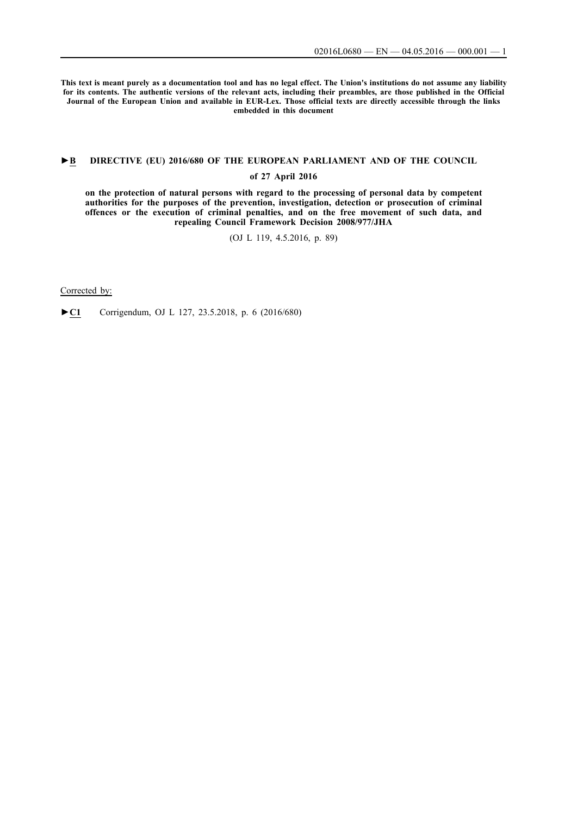**This text is meant purely as a documentation tool and has no legal effect. The Union's institutions do not assume any liability for its contents. The authentic versions of the relevant acts, including their preambles, are those published in the Official Journal of the European Union and available in EUR-Lex. Those official texts are directly accessible through the links embedded in this document**

## **►B [DIRECTIVE \(EU\) 2016/680 OF THE EUROPEAN PARLIAMENT AND OF THE COUNCIL](http://data.europa.eu/eli/dir/2016/680/oj/eng)**

## **[of 27 April 2016](http://data.europa.eu/eli/dir/2016/680/oj/eng)**

**[on the protection of natural persons with regard to the processing of personal data by competent](http://data.europa.eu/eli/dir/2016/680/oj/eng) [authorities for the purposes of the prevention, investigation, detection or prosecution of criminal](http://data.europa.eu/eli/dir/2016/680/oj/eng) [offences or the execution of criminal penalties, and on the free movement of such data, and](http://data.europa.eu/eli/dir/2016/680/oj/eng) [repealing Council Framework Decision 2008/977/JHA](http://data.europa.eu/eli/dir/2016/680/oj/eng)**

[\(OJ L 119, 4.5.2016, p. 89\)](http://data.europa.eu/eli/dir/2016/680/oj/eng)

Corrected by:

[►](http://data.europa.eu/eli/dir/2016/680/corrigendum/2018-05-23/oj/eng)**[C1](http://data.europa.eu/eli/dir/2016/680/corrigendum/2018-05-23/oj/eng)** [Corrigendum, OJ L 127, 23.5.2018, p. 6 \(2016/680\)](http://data.europa.eu/eli/dir/2016/680/corrigendum/2018-05-23/oj/eng)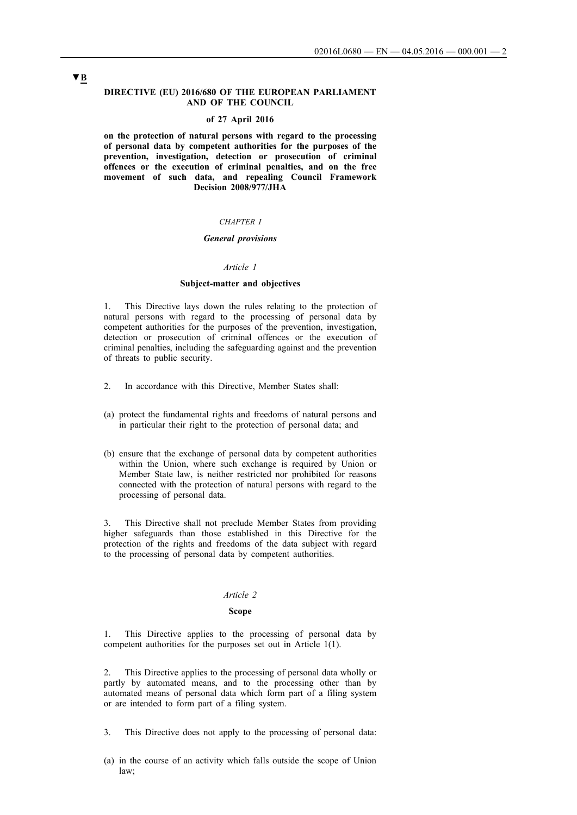## **DIRECTIVE (EU) 2016/680 OF THE EUROPEAN PARLIAMENT AND OF THE COUNCIL**

### **of 27 April 2016**

**on the protection of natural persons with regard to the processing of personal data by competent authorities for the purposes of the prevention, investigation, detection or prosecution of criminal offences or the execution of criminal penalties, and on the free movement of such data, and repealing Council Framework Decision 2008/977/JHA**

## *CHAPTER I*

## *General provisions*

#### *Article 1*

### **Subject-matter and objectives**

1. This Directive lays down the rules relating to the protection of natural persons with regard to the processing of personal data by competent authorities for the purposes of the prevention, investigation, detection or prosecution of criminal offences or the execution of criminal penalties, including the safeguarding against and the prevention of threats to public security.

- 2. In accordance with this Directive, Member States shall:
- (a) protect the fundamental rights and freedoms of natural persons and in particular their right to the protection of personal data; and
- (b) ensure that the exchange of personal data by competent authorities within the Union, where such exchange is required by Union or Member State law, is neither restricted nor prohibited for reasons connected with the protection of natural persons with regard to the processing of personal data.

3. This Directive shall not preclude Member States from providing higher safeguards than those established in this Directive for the protection of the rights and freedoms of the data subject with regard to the processing of personal data by competent authorities.

## *Article 2*

## **Scope**

1. This Directive applies to the processing of personal data by competent authorities for the purposes set out in Article 1(1).

2. This Directive applies to the processing of personal data wholly or partly by automated means, and to the processing other than by automated means of personal data which form part of a filing system or are intended to form part of a filing system.

- 3. This Directive does not apply to the processing of personal data:
- (a) in the course of an activity which falls outside the scope of Union law;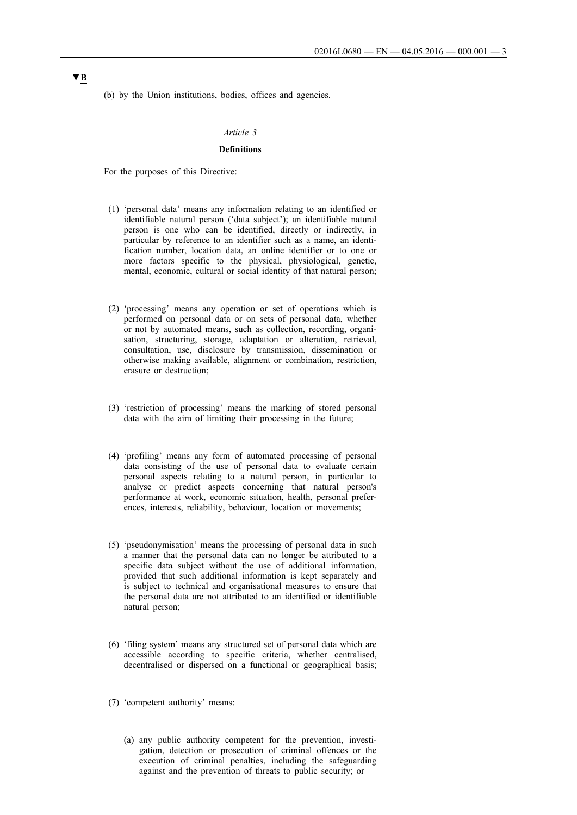(b) by the Union institutions, bodies, offices and agencies.

## *Article 3*

## **Definitions**

For the purposes of this Directive:

- (1) 'personal data' means any information relating to an identified or identifiable natural person ('data subject'); an identifiable natural person is one who can be identified, directly or indirectly, in particular by reference to an identifier such as a name, an identification number, location data, an online identifier or to one or more factors specific to the physical, physiological, genetic, mental, economic, cultural or social identity of that natural person;
- (2) 'processing' means any operation or set of operations which is performed on personal data or on sets of personal data, whether or not by automated means, such as collection, recording, organisation, structuring, storage, adaptation or alteration, retrieval, consultation, use, disclosure by transmission, dissemination or otherwise making available, alignment or combination, restriction, erasure or destruction;
- (3) 'restriction of processing' means the marking of stored personal data with the aim of limiting their processing in the future;
- (4) 'profiling' means any form of automated processing of personal data consisting of the use of personal data to evaluate certain personal aspects relating to a natural person, in particular to analyse or predict aspects concerning that natural person's performance at work, economic situation, health, personal preferences, interests, reliability, behaviour, location or movements;
- (5) 'pseudonymisation' means the processing of personal data in such a manner that the personal data can no longer be attributed to a specific data subject without the use of additional information, provided that such additional information is kept separately and is subject to technical and organisational measures to ensure that the personal data are not attributed to an identified or identifiable natural person;
- (6) 'filing system' means any structured set of personal data which are accessible according to specific criteria, whether centralised, decentralised or dispersed on a functional or geographical basis;
- (7) 'competent authority' means:
	- (a) any public authority competent for the prevention, investigation, detection or prosecution of criminal offences or the execution of criminal penalties, including the safeguarding against and the prevention of threats to public security; or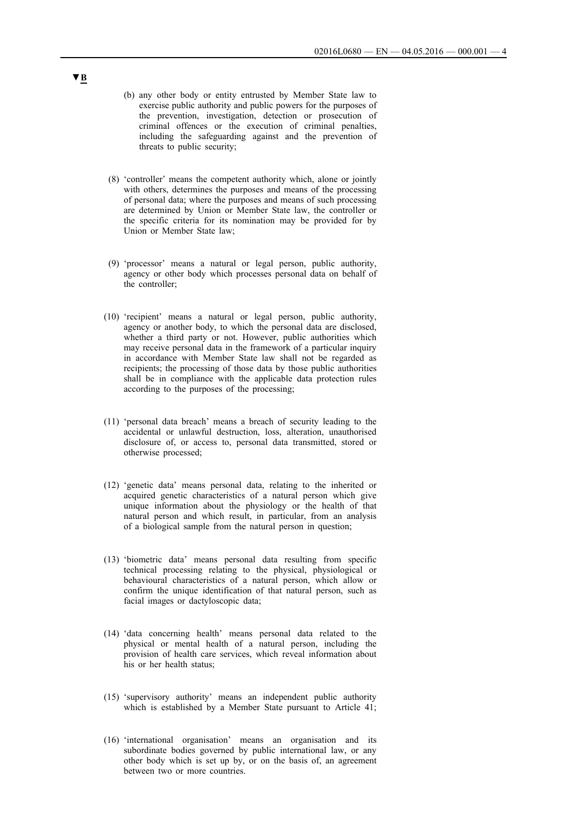- (b) any other body or entity entrusted by Member State law to exercise public authority and public powers for the purposes of the prevention, investigation, detection or prosecution of criminal offences or the execution of criminal penalties, including the safeguarding against and the prevention of threats to public security;
- (8) 'controller' means the competent authority which, alone or jointly with others, determines the purposes and means of the processing of personal data; where the purposes and means of such processing are determined by Union or Member State law, the controller or the specific criteria for its nomination may be provided for by Union or Member State law;
- (9) 'processor' means a natural or legal person, public authority, agency or other body which processes personal data on behalf of the controller;
- (10) 'recipient' means a natural or legal person, public authority, agency or another body, to which the personal data are disclosed, whether a third party or not. However, public authorities which may receive personal data in the framework of a particular inquiry in accordance with Member State law shall not be regarded as recipients; the processing of those data by those public authorities shall be in compliance with the applicable data protection rules according to the purposes of the processing;
- (11) 'personal data breach' means a breach of security leading to the accidental or unlawful destruction, loss, alteration, unauthorised disclosure of, or access to, personal data transmitted, stored or otherwise processed;
- (12) 'genetic data' means personal data, relating to the inherited or acquired genetic characteristics of a natural person which give unique information about the physiology or the health of that natural person and which result, in particular, from an analysis of a biological sample from the natural person in question;
- (13) 'biometric data' means personal data resulting from specific technical processing relating to the physical, physiological or behavioural characteristics of a natural person, which allow or confirm the unique identification of that natural person, such as facial images or dactyloscopic data;
- (14) 'data concerning health' means personal data related to the physical or mental health of a natural person, including the provision of health care services, which reveal information about his or her health status;
- (15) 'supervisory authority' means an independent public authority which is established by a Member State pursuant to Article 41;
- (16) 'international organisation' means an organisation and its subordinate bodies governed by public international law, or any other body which is set up by, or on the basis of, an agreement between two or more countries.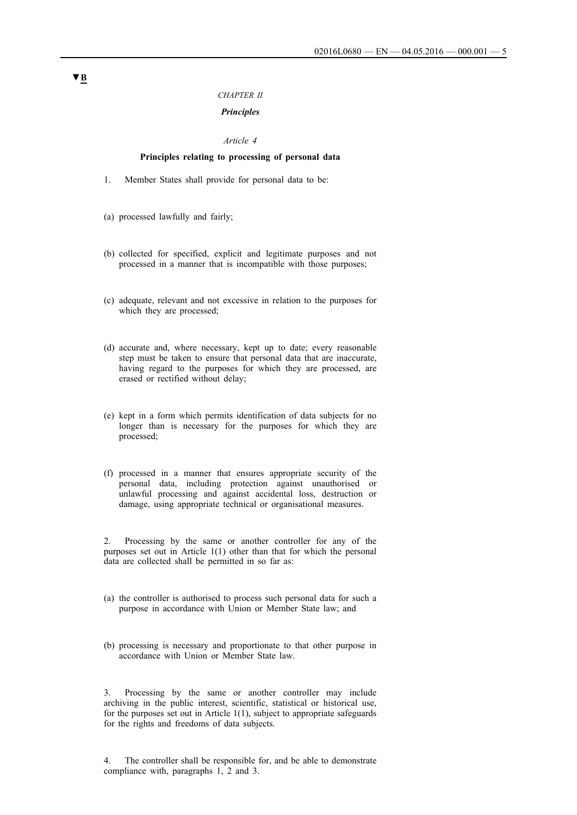### *CHAPTER II*

## *Principles*

### *Article 4*

## **Principles relating to processing of personal data**

- 1. Member States shall provide for personal data to be:
- (a) processed lawfully and fairly;
- (b) collected for specified, explicit and legitimate purposes and not processed in a manner that is incompatible with those purposes;
- (c) adequate, relevant and not excessive in relation to the purposes for which they are processed;
- (d) accurate and, where necessary, kept up to date; every reasonable step must be taken to ensure that personal data that are inaccurate, having regard to the purposes for which they are processed, are erased or rectified without delay;
- (e) kept in a form which permits identification of data subjects for no longer than is necessary for the purposes for which they are processed;
- (f) processed in a manner that ensures appropriate security of the personal data, including protection against unauthorised or unlawful processing and against accidental loss, destruction or damage, using appropriate technical or organisational measures.

2. Processing by the same or another controller for any of the purposes set out in Article 1(1) other than that for which the personal data are collected shall be permitted in so far as:

- (a) the controller is authorised to process such personal data for such a purpose in accordance with Union or Member State law; and
- (b) processing is necessary and proportionate to that other purpose in accordance with Union or Member State law.

3. Processing by the same or another controller may include archiving in the public interest, scientific, statistical or historical use, for the purposes set out in Article 1(1), subject to appropriate safeguards for the rights and freedoms of data subjects.

4. The controller shall be responsible for, and be able to demonstrate compliance with, paragraphs 1, 2 and 3.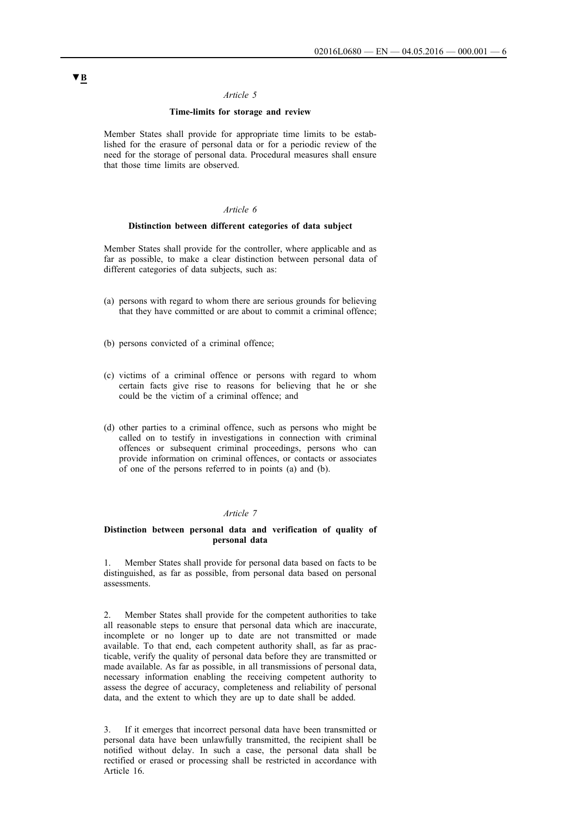### **Time-limits for storage and review**

Member States shall provide for appropriate time limits to be established for the erasure of personal data or for a periodic review of the need for the storage of personal data. Procedural measures shall ensure that those time limits are observed.

## *Article 6*

## **Distinction between different categories of data subject**

Member States shall provide for the controller, where applicable and as far as possible, to make a clear distinction between personal data of different categories of data subjects, such as:

- (a) persons with regard to whom there are serious grounds for believing that they have committed or are about to commit a criminal offence;
- (b) persons convicted of a criminal offence;
- (c) victims of a criminal offence or persons with regard to whom certain facts give rise to reasons for believing that he or she could be the victim of a criminal offence; and
- (d) other parties to a criminal offence, such as persons who might be called on to testify in investigations in connection with criminal offences or subsequent criminal proceedings, persons who can provide information on criminal offences, or contacts or associates of one of the persons referred to in points (a) and (b).

### *Article 7*

## **Distinction between personal data and verification of quality of personal data**

1. Member States shall provide for personal data based on facts to be distinguished, as far as possible, from personal data based on personal assessments.

2. Member States shall provide for the competent authorities to take all reasonable steps to ensure that personal data which are inaccurate, incomplete or no longer up to date are not transmitted or made available. To that end, each competent authority shall, as far as practicable, verify the quality of personal data before they are transmitted or made available. As far as possible, in all transmissions of personal data, necessary information enabling the receiving competent authority to assess the degree of accuracy, completeness and reliability of personal data, and the extent to which they are up to date shall be added.

3. If it emerges that incorrect personal data have been transmitted or personal data have been unlawfully transmitted, the recipient shall be notified without delay. In such a case, the personal data shall be rectified or erased or processing shall be restricted in accordance with Article 16.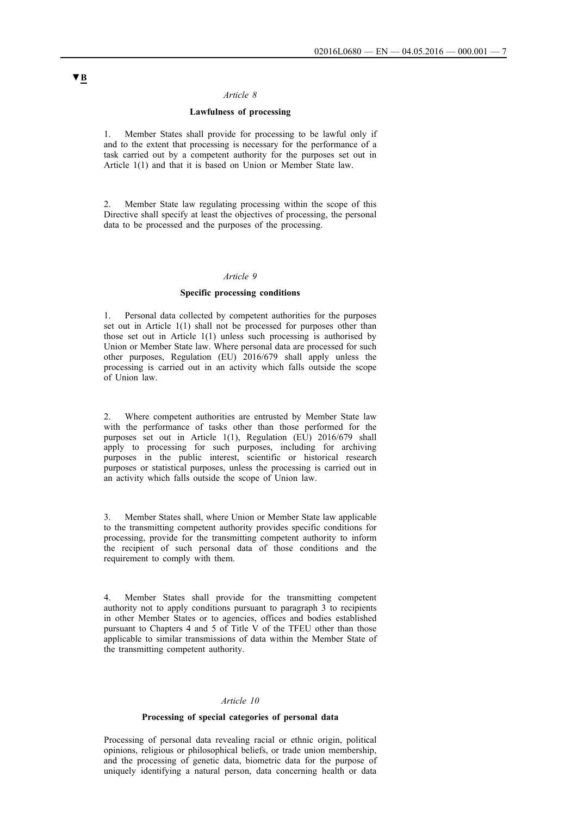## **Lawfulness of processing**

1. Member States shall provide for processing to be lawful only if and to the extent that processing is necessary for the performance of a task carried out by a competent authority for the purposes set out in Article 1(1) and that it is based on Union or Member State law.

2. Member State law regulating processing within the scope of this Directive shall specify at least the objectives of processing, the personal data to be processed and the purposes of the processing.

### *Article 9*

### **Specific processing conditions**

1. Personal data collected by competent authorities for the purposes set out in Article 1(1) shall not be processed for purposes other than those set out in Article 1(1) unless such processing is authorised by Union or Member State law. Where personal data are processed for such other purposes, Regulation (EU) 2016/679 shall apply unless the processing is carried out in an activity which falls outside the scope of Union law.

2. Where competent authorities are entrusted by Member State law with the performance of tasks other than those performed for the purposes set out in Article 1(1), Regulation (EU) 2016/679 shall apply to processing for such purposes, including for archiving purposes in the public interest, scientific or historical research purposes or statistical purposes, unless the processing is carried out in an activity which falls outside the scope of Union law.

3. Member States shall, where Union or Member State law applicable to the transmitting competent authority provides specific conditions for processing, provide for the transmitting competent authority to inform the recipient of such personal data of those conditions and the requirement to comply with them.

4. Member States shall provide for the transmitting competent authority not to apply conditions pursuant to paragraph 3 to recipients in other Member States or to agencies, offices and bodies established pursuant to Chapters 4 and 5 of Title V of the TFEU other than those applicable to similar transmissions of data within the Member State of the transmitting competent authority.

## *Article 10*

## **Processing of special categories of personal data**

Processing of personal data revealing racial or ethnic origin, political opinions, religious or philosophical beliefs, or trade union membership, and the processing of genetic data, biometric data for the purpose of uniquely identifying a natural person, data concerning health or data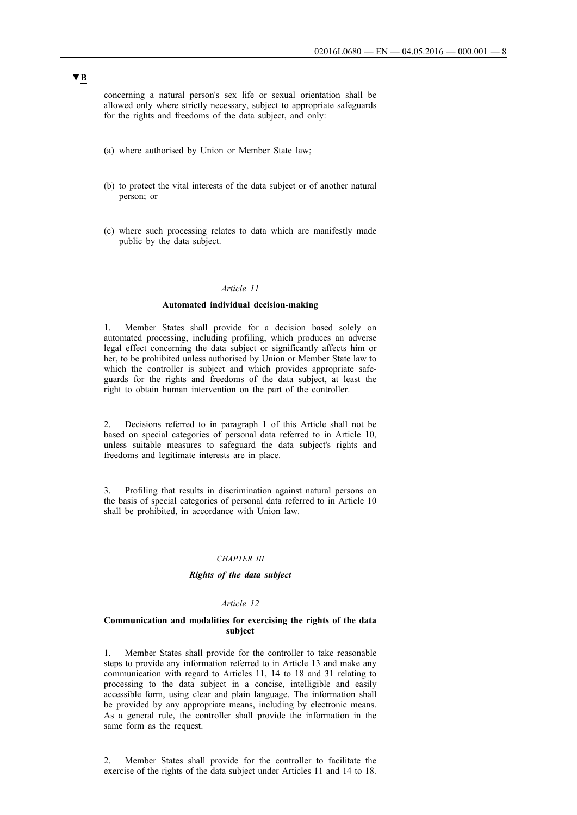concerning a natural person's sex life or sexual orientation shall be allowed only where strictly necessary, subject to appropriate safeguards for the rights and freedoms of the data subject, and only:

- (a) where authorised by Union or Member State law;
- (b) to protect the vital interests of the data subject or of another natural person; or
- (c) where such processing relates to data which are manifestly made public by the data subject.

### *Article 11*

## **Automated individual decision-making**

1. Member States shall provide for a decision based solely on automated processing, including profiling, which produces an adverse legal effect concerning the data subject or significantly affects him or her, to be prohibited unless authorised by Union or Member State law to which the controller is subject and which provides appropriate safeguards for the rights and freedoms of the data subject, at least the right to obtain human intervention on the part of the controller.

2. Decisions referred to in paragraph 1 of this Article shall not be based on special categories of personal data referred to in Article 10, unless suitable measures to safeguard the data subject's rights and freedoms and legitimate interests are in place.

3. Profiling that results in discrimination against natural persons on the basis of special categories of personal data referred to in Article 10 shall be prohibited, in accordance with Union law.

### *CHAPTER III*

### *Rights of the data subject*

### *Article 12*

## **Communication and modalities for exercising the rights of the data subject**

1. Member States shall provide for the controller to take reasonable steps to provide any information referred to in Article 13 and make any communication with regard to Articles 11, 14 to 18 and 31 relating to processing to the data subject in a concise, intelligible and easily accessible form, using clear and plain language. The information shall be provided by any appropriate means, including by electronic means. As a general rule, the controller shall provide the information in the same form as the request.

2. Member States shall provide for the controller to facilitate the exercise of the rights of the data subject under Articles 11 and 14 to 18.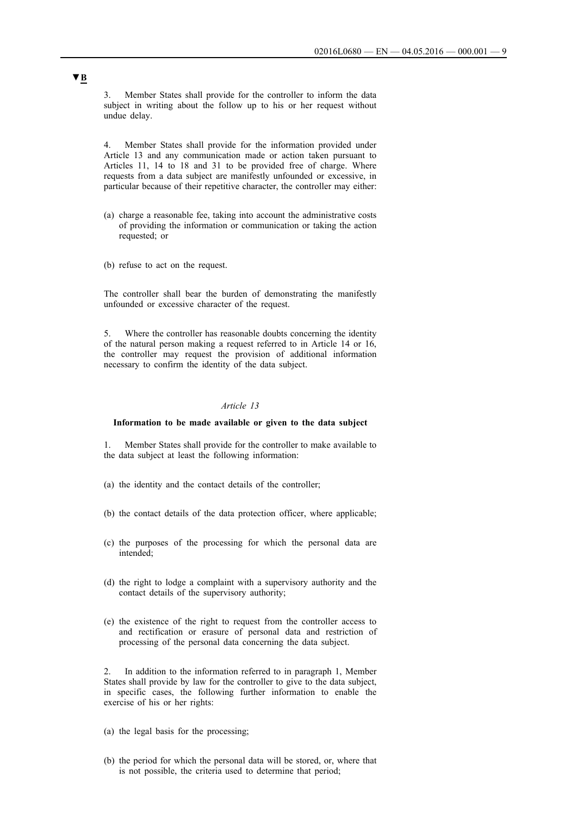3. Member States shall provide for the controller to inform the data subject in writing about the follow up to his or her request without undue delay.

4. Member States shall provide for the information provided under Article 13 and any communication made or action taken pursuant to Articles 11, 14 to 18 and 31 to be provided free of charge. Where requests from a data subject are manifestly unfounded or excessive, in particular because of their repetitive character, the controller may either:

- (a) charge a reasonable fee, taking into account the administrative costs of providing the information or communication or taking the action requested; or
- (b) refuse to act on the request.

The controller shall bear the burden of demonstrating the manifestly unfounded or excessive character of the request.

5. Where the controller has reasonable doubts concerning the identity of the natural person making a request referred to in Article 14 or 16, the controller may request the provision of additional information necessary to confirm the identity of the data subject.

### *Article 13*

## **Information to be made available or given to the data subject**

1. Member States shall provide for the controller to make available to the data subject at least the following information:

- (a) the identity and the contact details of the controller;
- (b) the contact details of the data protection officer, where applicable;
- (c) the purposes of the processing for which the personal data are intended;
- (d) the right to lodge a complaint with a supervisory authority and the contact details of the supervisory authority;
- (e) the existence of the right to request from the controller access to and rectification or erasure of personal data and restriction of processing of the personal data concerning the data subject.

In addition to the information referred to in paragraph 1, Member States shall provide by law for the controller to give to the data subject, in specific cases, the following further information to enable the exercise of his or her rights:

- (a) the legal basis for the processing;
- (b) the period for which the personal data will be stored, or, where that is not possible, the criteria used to determine that period;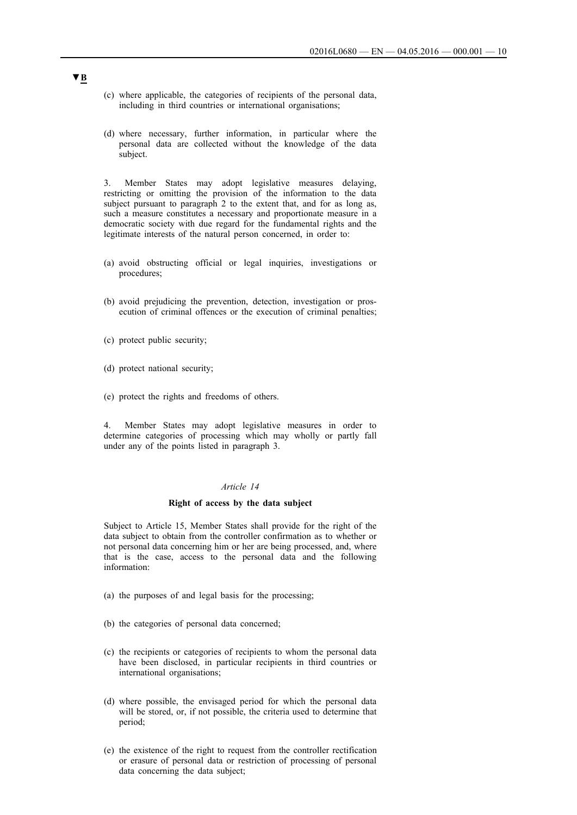- (c) where applicable, the categories of recipients of the personal data, including in third countries or international organisations;
- (d) where necessary, further information, in particular where the personal data are collected without the knowledge of the data subject.

3. Member States may adopt legislative measures delaying, restricting or omitting the provision of the information to the data subject pursuant to paragraph 2 to the extent that, and for as long as, such a measure constitutes a necessary and proportionate measure in a democratic society with due regard for the fundamental rights and the legitimate interests of the natural person concerned, in order to:

- (a) avoid obstructing official or legal inquiries, investigations or procedures;
- (b) avoid prejudicing the prevention, detection, investigation or prosecution of criminal offences or the execution of criminal penalties;
- (c) protect public security;
- (d) protect national security;
- (e) protect the rights and freedoms of others.

4. Member States may adopt legislative measures in order to determine categories of processing which may wholly or partly fall under any of the points listed in paragraph 3.

## *Article 14*

## **Right of access by the data subject**

Subject to Article 15, Member States shall provide for the right of the data subject to obtain from the controller confirmation as to whether or not personal data concerning him or her are being processed, and, where that is the case, access to the personal data and the following information:

- (a) the purposes of and legal basis for the processing;
- (b) the categories of personal data concerned;
- (c) the recipients or categories of recipients to whom the personal data have been disclosed, in particular recipients in third countries or international organisations;
- (d) where possible, the envisaged period for which the personal data will be stored, or, if not possible, the criteria used to determine that period;
- (e) the existence of the right to request from the controller rectification or erasure of personal data or restriction of processing of personal data concerning the data subject;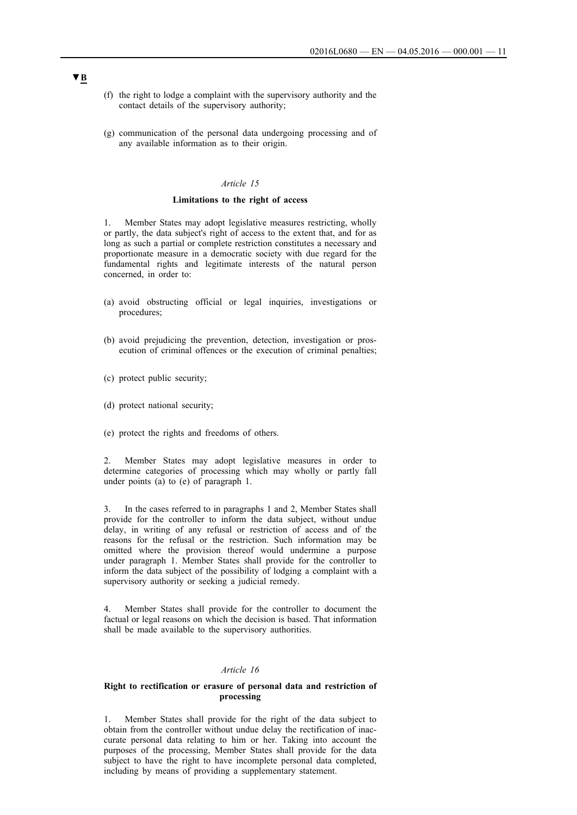- (f) the right to lodge a complaint with the supervisory authority and the contact details of the supervisory authority;
- (g) communication of the personal data undergoing processing and of any available information as to their origin.

## **Limitations to the right of access**

1. Member States may adopt legislative measures restricting, wholly or partly, the data subject's right of access to the extent that, and for as long as such a partial or complete restriction constitutes a necessary and proportionate measure in a democratic society with due regard for the fundamental rights and legitimate interests of the natural person concerned, in order to:

- (a) avoid obstructing official or legal inquiries, investigations or procedures;
- (b) avoid prejudicing the prevention, detection, investigation or prosecution of criminal offences or the execution of criminal penalties;
- (c) protect public security;
- (d) protect national security;
- (e) protect the rights and freedoms of others.

2. Member States may adopt legislative measures in order to determine categories of processing which may wholly or partly fall under points (a) to (e) of paragraph 1.

3. In the cases referred to in paragraphs 1 and 2, Member States shall provide for the controller to inform the data subject, without undue delay, in writing of any refusal or restriction of access and of the reasons for the refusal or the restriction. Such information may be omitted where the provision thereof would undermine a purpose under paragraph 1. Member States shall provide for the controller to inform the data subject of the possibility of lodging a complaint with a supervisory authority or seeking a judicial remedy.

4. Member States shall provide for the controller to document the factual or legal reasons on which the decision is based. That information shall be made available to the supervisory authorities.

## *Article 16*

### **Right to rectification or erasure of personal data and restriction of processing**

1. Member States shall provide for the right of the data subject to obtain from the controller without undue delay the rectification of inaccurate personal data relating to him or her. Taking into account the purposes of the processing, Member States shall provide for the data subject to have the right to have incomplete personal data completed, including by means of providing a supplementary statement.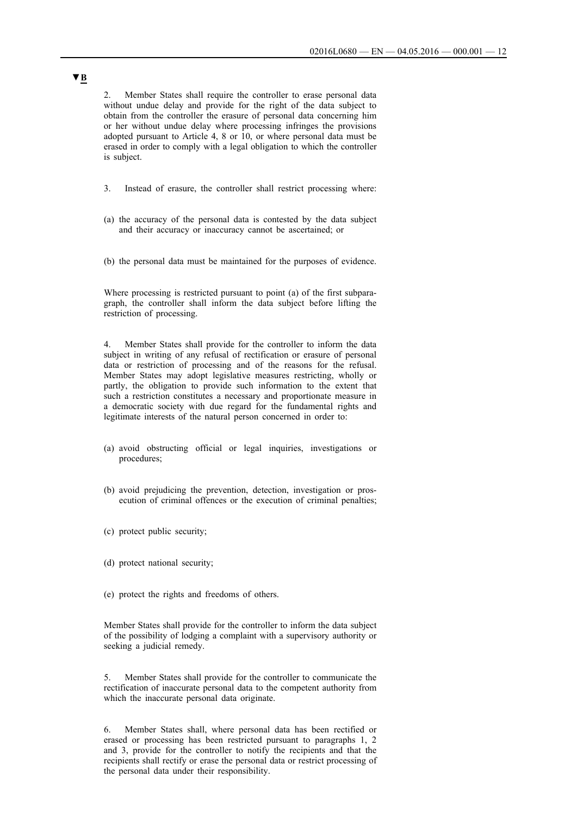2. Member States shall require the controller to erase personal data without undue delay and provide for the right of the data subject to obtain from the controller the erasure of personal data concerning him or her without undue delay where processing infringes the provisions adopted pursuant to Article 4, 8 or 10, or where personal data must be erased in order to comply with a legal obligation to which the controller is subject.

- 3. Instead of erasure, the controller shall restrict processing where:
- (a) the accuracy of the personal data is contested by the data subject and their accuracy or inaccuracy cannot be ascertained; or
- (b) the personal data must be maintained for the purposes of evidence.

Where processing is restricted pursuant to point (a) of the first subparagraph, the controller shall inform the data subject before lifting the restriction of processing.

4. Member States shall provide for the controller to inform the data subject in writing of any refusal of rectification or erasure of personal data or restriction of processing and of the reasons for the refusal. Member States may adopt legislative measures restricting, wholly or partly, the obligation to provide such information to the extent that such a restriction constitutes a necessary and proportionate measure in a democratic society with due regard for the fundamental rights and legitimate interests of the natural person concerned in order to:

- (a) avoid obstructing official or legal inquiries, investigations or procedures;
- (b) avoid prejudicing the prevention, detection, investigation or prosecution of criminal offences or the execution of criminal penalties;
- (c) protect public security;
- (d) protect national security;
- (e) protect the rights and freedoms of others.

Member States shall provide for the controller to inform the data subject of the possibility of lodging a complaint with a supervisory authority or seeking a judicial remedy.

5. Member States shall provide for the controller to communicate the rectification of inaccurate personal data to the competent authority from which the inaccurate personal data originate.

6. Member States shall, where personal data has been rectified or erased or processing has been restricted pursuant to paragraphs 1, 2 and 3, provide for the controller to notify the recipients and that the recipients shall rectify or erase the personal data or restrict processing of the personal data under their responsibility.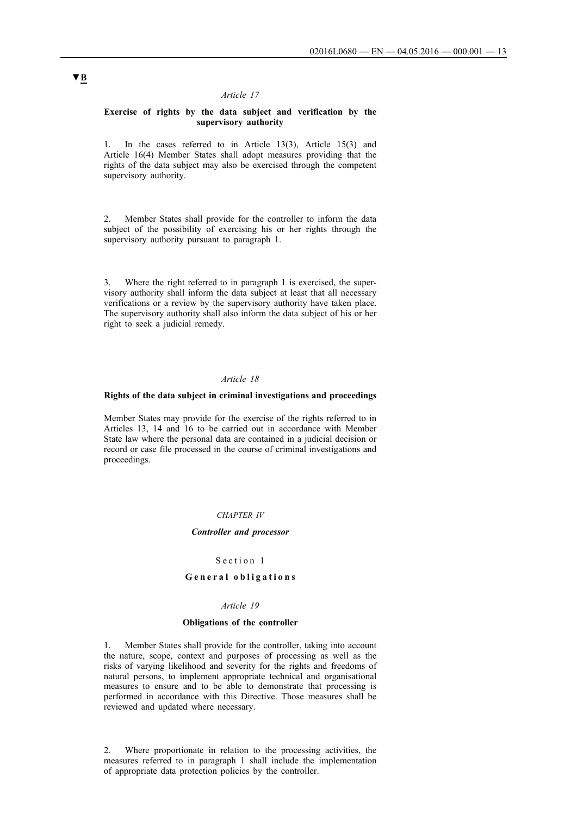## **Exercise of rights by the data subject and verification by the supervisory authority**

1. In the cases referred to in Article 13(3), Article 15(3) and Article 16(4) Member States shall adopt measures providing that the rights of the data subject may also be exercised through the competent supervisory authority.

2. Member States shall provide for the controller to inform the data subject of the possibility of exercising his or her rights through the supervisory authority pursuant to paragraph 1.

3. Where the right referred to in paragraph 1 is exercised, the supervisory authority shall inform the data subject at least that all necessary verifications or a review by the supervisory authority have taken place. The supervisory authority shall also inform the data subject of his or her right to seek a judicial remedy.

## *Article 18*

## **Rights of the data subject in criminal investigations and proceedings**

Member States may provide for the exercise of the rights referred to in Articles 13, 14 and 16 to be carried out in accordance with Member State law where the personal data are contained in a judicial decision or record or case file processed in the course of criminal investigations and proceedings.

### *CHAPTER IV*

#### *Controller and processor*

### Section 1

## **G e n e r a l o b l i g a t i o n s**

### *Article 19*

### **Obligations of the controller**

1. Member States shall provide for the controller, taking into account the nature, scope, context and purposes of processing as well as the risks of varying likelihood and severity for the rights and freedoms of natural persons, to implement appropriate technical and organisational measures to ensure and to be able to demonstrate that processing is performed in accordance with this Directive. Those measures shall be reviewed and updated where necessary.

2. Where proportionate in relation to the processing activities, the measures referred to in paragraph 1 shall include the implementation of appropriate data protection policies by the controller.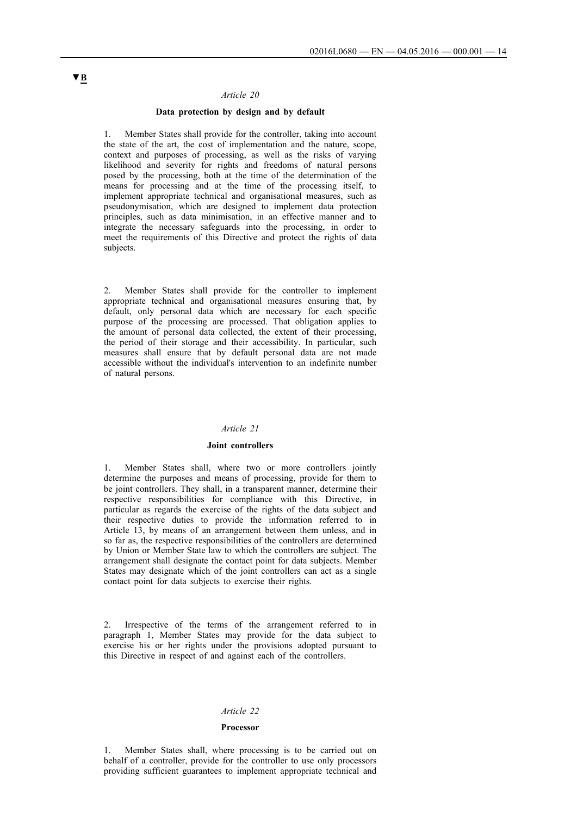## **Data protection by design and by default**

1. Member States shall provide for the controller, taking into account the state of the art, the cost of implementation and the nature, scope, context and purposes of processing, as well as the risks of varying likelihood and severity for rights and freedoms of natural persons posed by the processing, both at the time of the determination of the means for processing and at the time of the processing itself, to implement appropriate technical and organisational measures, such as pseudonymisation, which are designed to implement data protection principles, such as data minimisation, in an effective manner and to integrate the necessary safeguards into the processing, in order to meet the requirements of this Directive and protect the rights of data subjects.

2. Member States shall provide for the controller to implement appropriate technical and organisational measures ensuring that, by default, only personal data which are necessary for each specific purpose of the processing are processed. That obligation applies to the amount of personal data collected, the extent of their processing, the period of their storage and their accessibility. In particular, such measures shall ensure that by default personal data are not made accessible without the individual's intervention to an indefinite number of natural persons.

### *Article 21*

## **Joint controllers**

1. Member States shall, where two or more controllers jointly determine the purposes and means of processing, provide for them to be joint controllers. They shall, in a transparent manner, determine their respective responsibilities for compliance with this Directive, in particular as regards the exercise of the rights of the data subject and their respective duties to provide the information referred to in Article 13, by means of an arrangement between them unless, and in so far as, the respective responsibilities of the controllers are determined by Union or Member State law to which the controllers are subject. The arrangement shall designate the contact point for data subjects. Member States may designate which of the joint controllers can act as a single contact point for data subjects to exercise their rights.

2. Irrespective of the terms of the arrangement referred to in paragraph 1, Member States may provide for the data subject to exercise his or her rights under the provisions adopted pursuant to this Directive in respect of and against each of the controllers.

#### *Article 22*

### **Processor**

1. Member States shall, where processing is to be carried out on behalf of a controller, provide for the controller to use only processors providing sufficient guarantees to implement appropriate technical and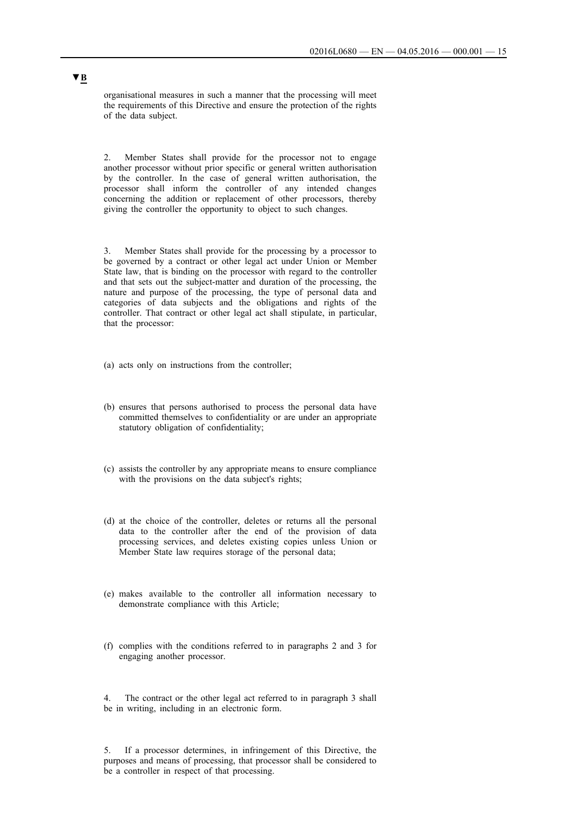organisational measures in such a manner that the processing will meet the requirements of this Directive and ensure the protection of the rights of the data subject.

2. Member States shall provide for the processor not to engage another processor without prior specific or general written authorisation by the controller. In the case of general written authorisation, the processor shall inform the controller of any intended changes concerning the addition or replacement of other processors, thereby giving the controller the opportunity to object to such changes.

3. Member States shall provide for the processing by a processor to be governed by a contract or other legal act under Union or Member State law, that is binding on the processor with regard to the controller and that sets out the subject-matter and duration of the processing, the nature and purpose of the processing, the type of personal data and categories of data subjects and the obligations and rights of the controller. That contract or other legal act shall stipulate, in particular, that the processor:

(a) acts only on instructions from the controller;

- (b) ensures that persons authorised to process the personal data have committed themselves to confidentiality or are under an appropriate statutory obligation of confidentiality;
- (c) assists the controller by any appropriate means to ensure compliance with the provisions on the data subject's rights;
- (d) at the choice of the controller, deletes or returns all the personal data to the controller after the end of the provision of data processing services, and deletes existing copies unless Union or Member State law requires storage of the personal data;
- (e) makes available to the controller all information necessary to demonstrate compliance with this Article;
- (f) complies with the conditions referred to in paragraphs 2 and 3 for engaging another processor.

The contract or the other legal act referred to in paragraph 3 shall be in writing, including in an electronic form.

5. If a processor determines, in infringement of this Directive, the purposes and means of processing, that processor shall be considered to be a controller in respect of that processing.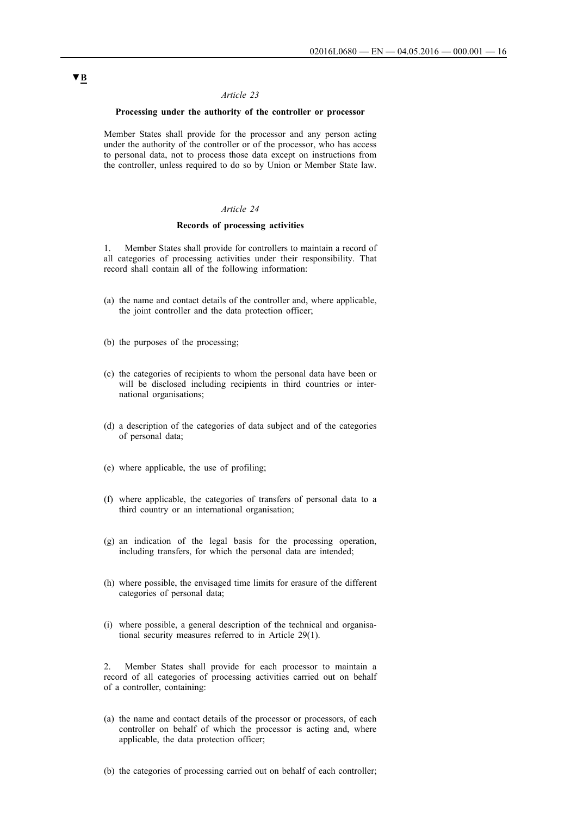## **Processing under the authority of the controller or processor**

Member States shall provide for the processor and any person acting under the authority of the controller or of the processor, who has access to personal data, not to process those data except on instructions from the controller, unless required to do so by Union or Member State law.

## *Article 24*

### **Records of processing activities**

1. Member States shall provide for controllers to maintain a record of all categories of processing activities under their responsibility. That record shall contain all of the following information:

- (a) the name and contact details of the controller and, where applicable, the joint controller and the data protection officer;
- (b) the purposes of the processing;
- (c) the categories of recipients to whom the personal data have been or will be disclosed including recipients in third countries or international organisations;
- (d) a description of the categories of data subject and of the categories of personal data;
- (e) where applicable, the use of profiling;
- (f) where applicable, the categories of transfers of personal data to a third country or an international organisation;
- (g) an indication of the legal basis for the processing operation, including transfers, for which the personal data are intended;
- (h) where possible, the envisaged time limits for erasure of the different categories of personal data;
- (i) where possible, a general description of the technical and organisational security measures referred to in Article 29(1).

2. Member States shall provide for each processor to maintain a record of all categories of processing activities carried out on behalf of a controller, containing:

- (a) the name and contact details of the processor or processors, of each controller on behalf of which the processor is acting and, where applicable, the data protection officer;
- (b) the categories of processing carried out on behalf of each controller;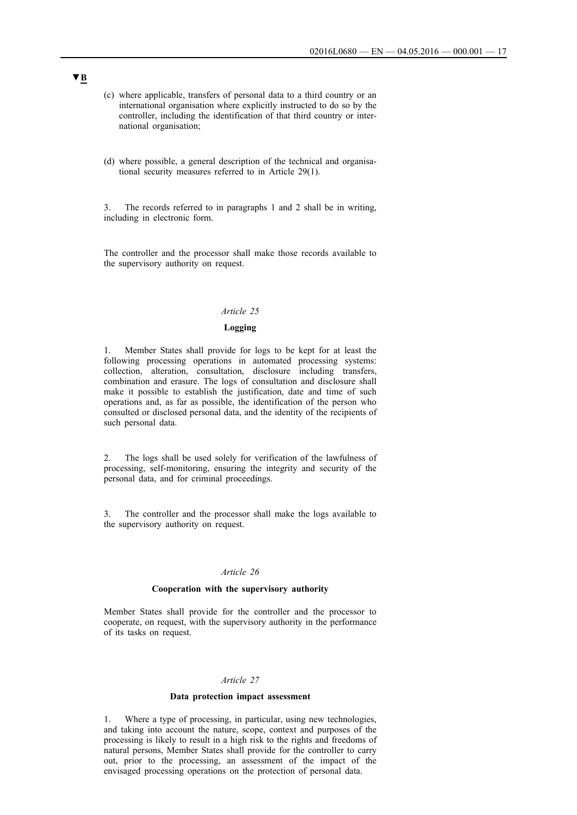- (c) where applicable, transfers of personal data to a third country or an international organisation where explicitly instructed to do so by the controller, including the identification of that third country or international organisation;
- (d) where possible, a general description of the technical and organisational security measures referred to in Article 29(1).

3. The records referred to in paragraphs 1 and 2 shall be in writing, including in electronic form.

The controller and the processor shall make those records available to the supervisory authority on request.

## *Article 25*

#### **Logging**

1. Member States shall provide for logs to be kept for at least the following processing operations in automated processing systems: collection, alteration, consultation, disclosure including transfers, combination and erasure. The logs of consultation and disclosure shall make it possible to establish the justification, date and time of such operations and, as far as possible, the identification of the person who consulted or disclosed personal data, and the identity of the recipients of such personal data.

2. The logs shall be used solely for verification of the lawfulness of processing, self-monitoring, ensuring the integrity and security of the personal data, and for criminal proceedings.

3. The controller and the processor shall make the logs available to the supervisory authority on request.

## *Article 26*

### **Cooperation with the supervisory authority**

Member States shall provide for the controller and the processor to cooperate, on request, with the supervisory authority in the performance of its tasks on request.

## *Article 27*

### **Data protection impact assessment**

1. Where a type of processing, in particular, using new technologies, and taking into account the nature, scope, context and purposes of the processing is likely to result in a high risk to the rights and freedoms of natural persons, Member States shall provide for the controller to carry out, prior to the processing, an assessment of the impact of the envisaged processing operations on the protection of personal data.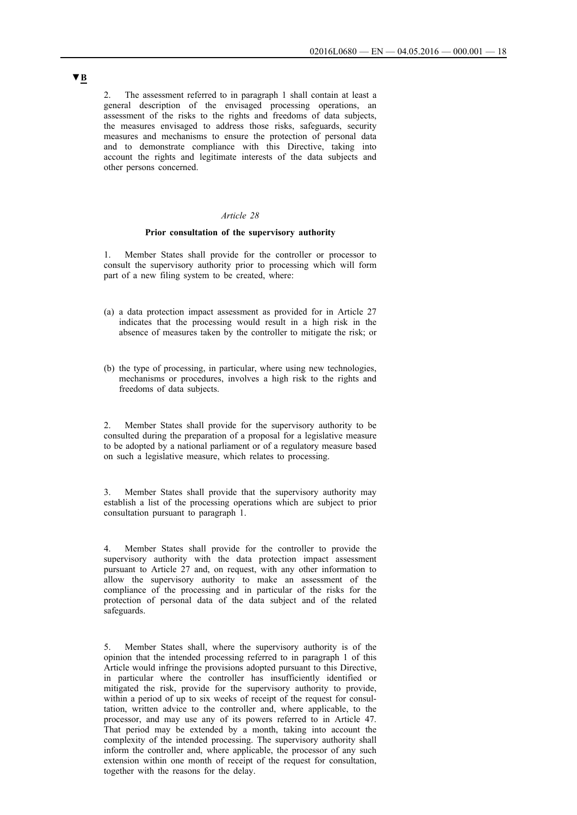2. The assessment referred to in paragraph 1 shall contain at least a general description of the envisaged processing operations, an assessment of the risks to the rights and freedoms of data subjects, the measures envisaged to address those risks, safeguards, security measures and mechanisms to ensure the protection of personal data and to demonstrate compliance with this Directive, taking into account the rights and legitimate interests of the data subjects and other persons concerned.

## *Article 28*

## **Prior consultation of the supervisory authority**

1. Member States shall provide for the controller or processor to consult the supervisory authority prior to processing which will form part of a new filing system to be created, where:

- (a) a data protection impact assessment as provided for in Article 27 indicates that the processing would result in a high risk in the absence of measures taken by the controller to mitigate the risk; or
- (b) the type of processing, in particular, where using new technologies, mechanisms or procedures, involves a high risk to the rights and freedoms of data subjects.

2. Member States shall provide for the supervisory authority to be consulted during the preparation of a proposal for a legislative measure to be adopted by a national parliament or of a regulatory measure based on such a legislative measure, which relates to processing.

Member States shall provide that the supervisory authority may establish a list of the processing operations which are subject to prior consultation pursuant to paragraph 1.

4. Member States shall provide for the controller to provide the supervisory authority with the data protection impact assessment pursuant to Article 27 and, on request, with any other information to allow the supervisory authority to make an assessment of the compliance of the processing and in particular of the risks for the protection of personal data of the data subject and of the related safeguards.

5. Member States shall, where the supervisory authority is of the opinion that the intended processing referred to in paragraph 1 of this Article would infringe the provisions adopted pursuant to this Directive, in particular where the controller has insufficiently identified or mitigated the risk, provide for the supervisory authority to provide, within a period of up to six weeks of receipt of the request for consultation, written advice to the controller and, where applicable, to the processor, and may use any of its powers referred to in Article 47. That period may be extended by a month, taking into account the complexity of the intended processing. The supervisory authority shall inform the controller and, where applicable, the processor of any such extension within one month of receipt of the request for consultation, together with the reasons for the delay.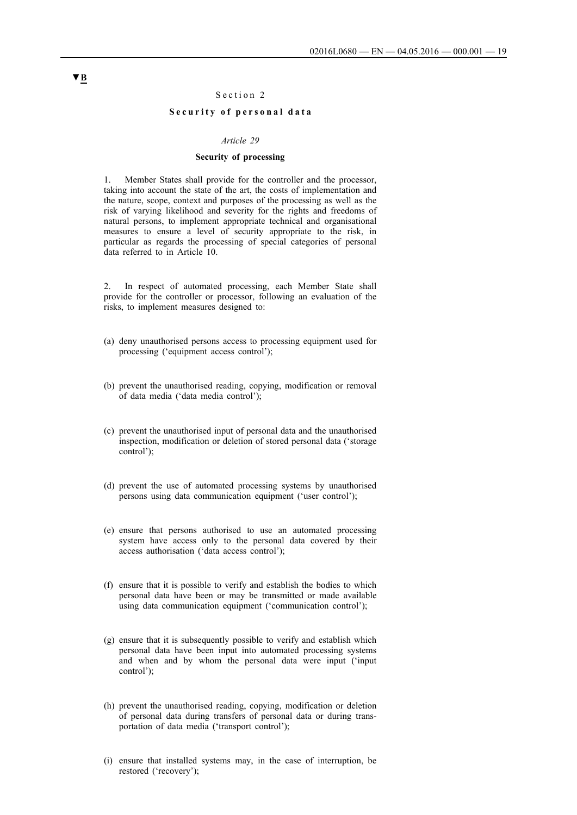## Section 2

## **S e c u r i t y o f p e r s o n a l d a t a**

#### *Article 29*

## **Security of processing**

1. Member States shall provide for the controller and the processor, taking into account the state of the art, the costs of implementation and the nature, scope, context and purposes of the processing as well as the risk of varying likelihood and severity for the rights and freedoms of natural persons, to implement appropriate technical and organisational measures to ensure a level of security appropriate to the risk, in particular as regards the processing of special categories of personal data referred to in Article 10.

2. In respect of automated processing, each Member State shall provide for the controller or processor, following an evaluation of the risks, to implement measures designed to:

- (a) deny unauthorised persons access to processing equipment used for processing ('equipment access control');
- (b) prevent the unauthorised reading, copying, modification or removal of data media ('data media control');
- (c) prevent the unauthorised input of personal data and the unauthorised inspection, modification or deletion of stored personal data ('storage control');
- (d) prevent the use of automated processing systems by unauthorised persons using data communication equipment ('user control');
- (e) ensure that persons authorised to use an automated processing system have access only to the personal data covered by their access authorisation ('data access control');
- (f) ensure that it is possible to verify and establish the bodies to which personal data have been or may be transmitted or made available using data communication equipment ('communication control');
- (g) ensure that it is subsequently possible to verify and establish which personal data have been input into automated processing systems and when and by whom the personal data were input ('input control');
- (h) prevent the unauthorised reading, copying, modification or deletion of personal data during transfers of personal data or during transportation of data media ('transport control');
- (i) ensure that installed systems may, in the case of interruption, be restored ('recovery');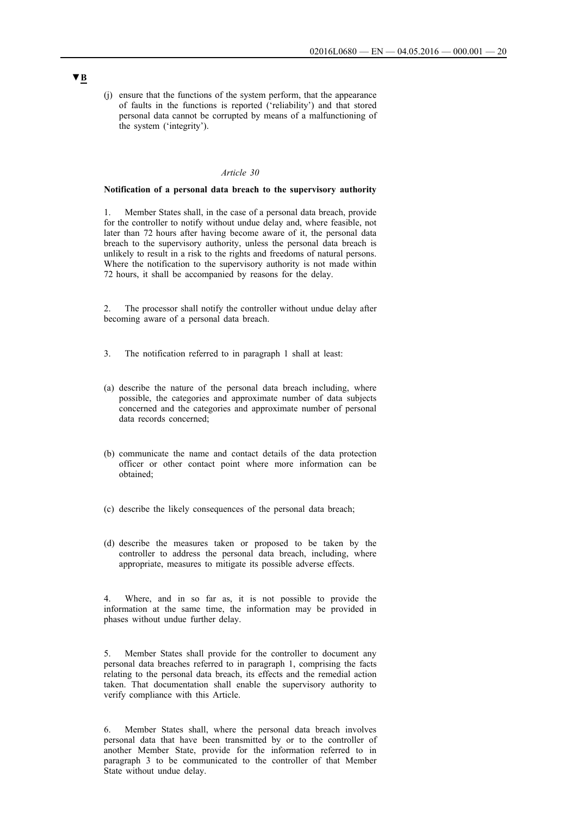(j) ensure that the functions of the system perform, that the appearance of faults in the functions is reported ('reliability') and that stored personal data cannot be corrupted by means of a malfunctioning of the system ('integrity').

### *Article 30*

### **Notification of a personal data breach to the supervisory authority**

1. Member States shall, in the case of a personal data breach, provide for the controller to notify without undue delay and, where feasible, not later than 72 hours after having become aware of it, the personal data breach to the supervisory authority, unless the personal data breach is unlikely to result in a risk to the rights and freedoms of natural persons. Where the notification to the supervisory authority is not made within 72 hours, it shall be accompanied by reasons for the delay.

2. The processor shall notify the controller without undue delay after becoming aware of a personal data breach.

- 3. The notification referred to in paragraph 1 shall at least:
- (a) describe the nature of the personal data breach including, where possible, the categories and approximate number of data subjects concerned and the categories and approximate number of personal data records concerned;
- (b) communicate the name and contact details of the data protection officer or other contact point where more information can be obtained;
- (c) describe the likely consequences of the personal data breach;
- (d) describe the measures taken or proposed to be taken by the controller to address the personal data breach, including, where appropriate, measures to mitigate its possible adverse effects.

4. Where, and in so far as, it is not possible to provide the information at the same time, the information may be provided in phases without undue further delay.

5. Member States shall provide for the controller to document any personal data breaches referred to in paragraph 1, comprising the facts relating to the personal data breach, its effects and the remedial action taken. That documentation shall enable the supervisory authority to verify compliance with this Article.

6. Member States shall, where the personal data breach involves personal data that have been transmitted by or to the controller of another Member State, provide for the information referred to in paragraph 3 to be communicated to the controller of that Member State without undue delay.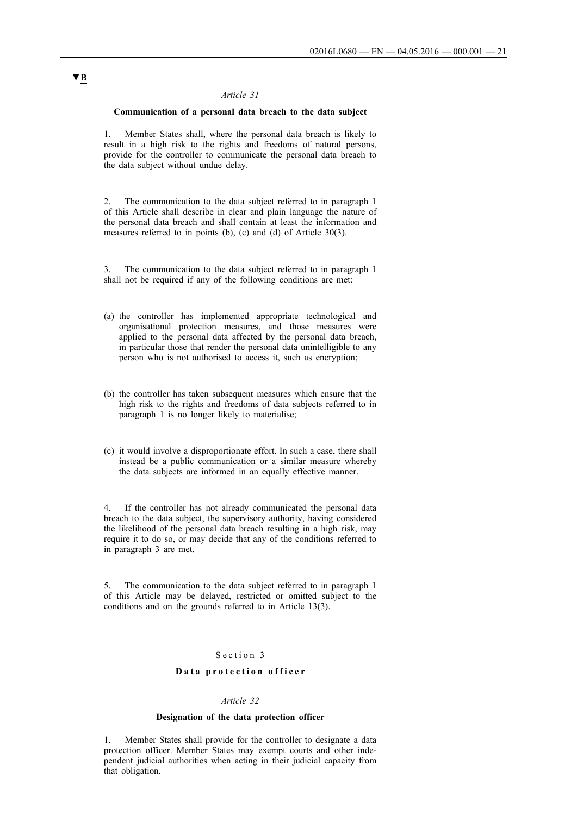## **Communication of a personal data breach to the data subject**

1. Member States shall, where the personal data breach is likely to result in a high risk to the rights and freedoms of natural persons, provide for the controller to communicate the personal data breach to the data subject without undue delay.

2. The communication to the data subject referred to in paragraph 1 of this Article shall describe in clear and plain language the nature of the personal data breach and shall contain at least the information and measures referred to in points (b), (c) and (d) of Article 30(3).

3. The communication to the data subject referred to in paragraph 1 shall not be required if any of the following conditions are met:

- (a) the controller has implemented appropriate technological and organisational protection measures, and those measures were applied to the personal data affected by the personal data breach, in particular those that render the personal data unintelligible to any person who is not authorised to access it, such as encryption;
- (b) the controller has taken subsequent measures which ensure that the high risk to the rights and freedoms of data subjects referred to in paragraph 1 is no longer likely to materialise;
- (c) it would involve a disproportionate effort. In such a case, there shall instead be a public communication or a similar measure whereby the data subjects are informed in an equally effective manner.

4. If the controller has not already communicated the personal data breach to the data subject, the supervisory authority, having considered the likelihood of the personal data breach resulting in a high risk, may require it to do so, or may decide that any of the conditions referred to in paragraph 3 are met.

5. The communication to the data subject referred to in paragraph 1 of this Article may be delayed, restricted or omitted subject to the conditions and on the grounds referred to in Article 13(3).

## Section 3

## **Data protection officer**

## *Article 32*

### **Designation of the data protection officer**

1. Member States shall provide for the controller to designate a data protection officer. Member States may exempt courts and other independent judicial authorities when acting in their judicial capacity from that obligation.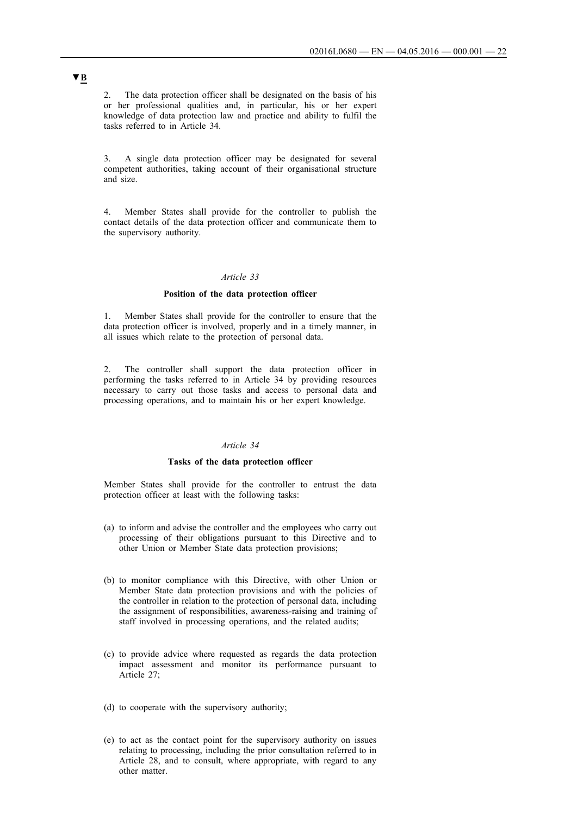2. The data protection officer shall be designated on the basis of his or her professional qualities and, in particular, his or her expert knowledge of data protection law and practice and ability to fulfil the tasks referred to in Article 34.

3. A single data protection officer may be designated for several competent authorities, taking account of their organisational structure and size.

4. Member States shall provide for the controller to publish the contact details of the data protection officer and communicate them to the supervisory authority.

### *Article 33*

### **Position of the data protection officer**

1. Member States shall provide for the controller to ensure that the data protection officer is involved, properly and in a timely manner, in all issues which relate to the protection of personal data.

2. The controller shall support the data protection officer in performing the tasks referred to in Article 34 by providing resources necessary to carry out those tasks and access to personal data and processing operations, and to maintain his or her expert knowledge.

### *Article 34*

## **Tasks of the data protection officer**

Member States shall provide for the controller to entrust the data protection officer at least with the following tasks:

- (a) to inform and advise the controller and the employees who carry out processing of their obligations pursuant to this Directive and to other Union or Member State data protection provisions;
- (b) to monitor compliance with this Directive, with other Union or Member State data protection provisions and with the policies of the controller in relation to the protection of personal data, including the assignment of responsibilities, awareness-raising and training of staff involved in processing operations, and the related audits;
- (c) to provide advice where requested as regards the data protection impact assessment and monitor its performance pursuant to Article 27;
- (d) to cooperate with the supervisory authority;
- (e) to act as the contact point for the supervisory authority on issues relating to processing, including the prior consultation referred to in Article 28, and to consult, where appropriate, with regard to any other matter.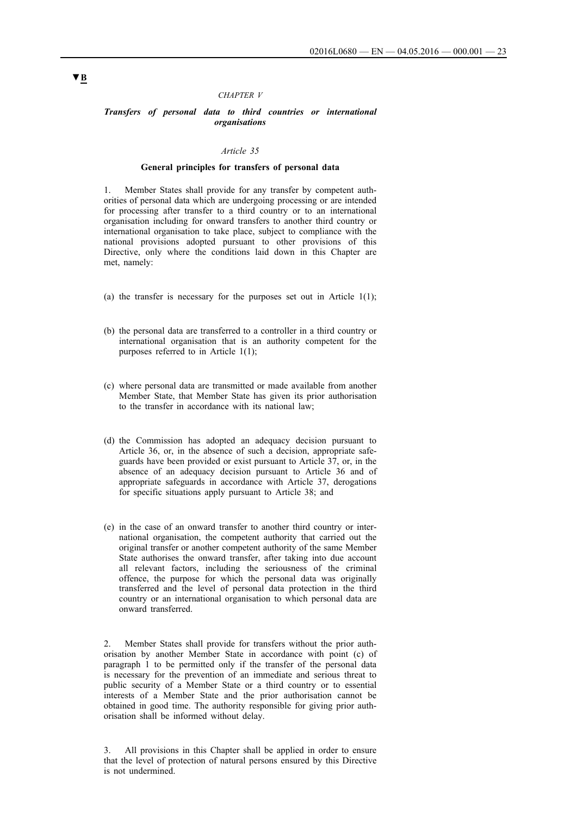#### *CHAPTER V*

## *Transfers of personal data to third countries or international organisations*

#### *Article 35*

### **General principles for transfers of personal data**

1. Member States shall provide for any transfer by competent authorities of personal data which are undergoing processing or are intended for processing after transfer to a third country or to an international organisation including for onward transfers to another third country or international organisation to take place, subject to compliance with the national provisions adopted pursuant to other provisions of this Directive, only where the conditions laid down in this Chapter are met, namely:

- (a) the transfer is necessary for the purposes set out in Article  $1(1)$ ;
- (b) the personal data are transferred to a controller in a third country or international organisation that is an authority competent for the purposes referred to in Article 1(1);
- (c) where personal data are transmitted or made available from another Member State, that Member State has given its prior authorisation to the transfer in accordance with its national law;
- (d) the Commission has adopted an adequacy decision pursuant to Article 36, or, in the absence of such a decision, appropriate safeguards have been provided or exist pursuant to Article 37, or, in the absence of an adequacy decision pursuant to Article 36 and of appropriate safeguards in accordance with Article 37, derogations for specific situations apply pursuant to Article 38; and
- (e) in the case of an onward transfer to another third country or international organisation, the competent authority that carried out the original transfer or another competent authority of the same Member State authorises the onward transfer, after taking into due account all relevant factors, including the seriousness of the criminal offence, the purpose for which the personal data was originally transferred and the level of personal data protection in the third country or an international organisation to which personal data are onward transferred.

Member States shall provide for transfers without the prior authorisation by another Member State in accordance with point (c) of paragraph 1 to be permitted only if the transfer of the personal data is necessary for the prevention of an immediate and serious threat to public security of a Member State or a third country or to essential interests of a Member State and the prior authorisation cannot be obtained in good time. The authority responsible for giving prior authorisation shall be informed without delay.

3. All provisions in this Chapter shall be applied in order to ensure that the level of protection of natural persons ensured by this Directive is not undermined.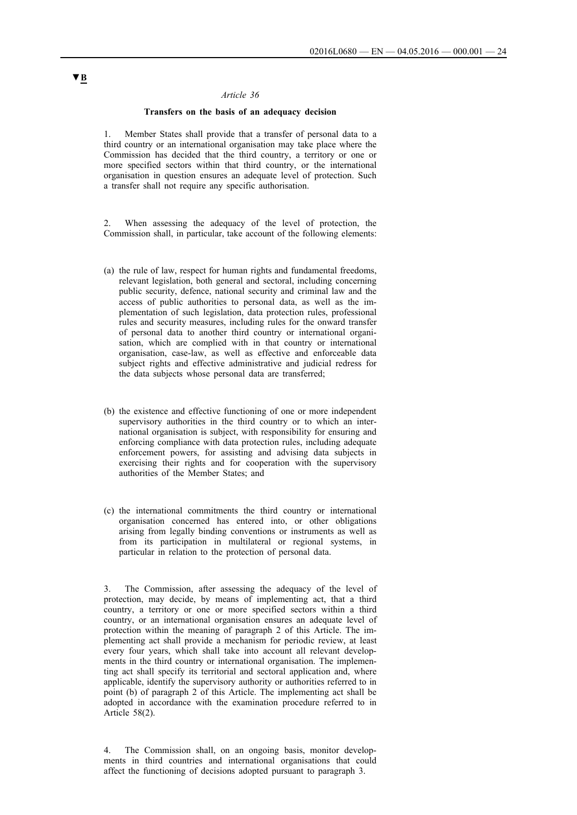### **Transfers on the basis of an adequacy decision**

Member States shall provide that a transfer of personal data to a third country or an international organisation may take place where the Commission has decided that the third country, a territory or one or more specified sectors within that third country, or the international organisation in question ensures an adequate level of protection. Such a transfer shall not require any specific authorisation.

2. When assessing the adequacy of the level of protection, the Commission shall, in particular, take account of the following elements:

- (a) the rule of law, respect for human rights and fundamental freedoms, relevant legislation, both general and sectoral, including concerning public security, defence, national security and criminal law and the access of public authorities to personal data, as well as the implementation of such legislation, data protection rules, professional rules and security measures, including rules for the onward transfer of personal data to another third country or international organisation, which are complied with in that country or international organisation, case-law, as well as effective and enforceable data subject rights and effective administrative and judicial redress for the data subjects whose personal data are transferred;
- (b) the existence and effective functioning of one or more independent supervisory authorities in the third country or to which an international organisation is subject, with responsibility for ensuring and enforcing compliance with data protection rules, including adequate enforcement powers, for assisting and advising data subjects in exercising their rights and for cooperation with the supervisory authorities of the Member States; and
- (c) the international commitments the third country or international organisation concerned has entered into, or other obligations arising from legally binding conventions or instruments as well as from its participation in multilateral or regional systems, in particular in relation to the protection of personal data.

The Commission, after assessing the adequacy of the level of protection, may decide, by means of implementing act, that a third country, a territory or one or more specified sectors within a third country, or an international organisation ensures an adequate level of protection within the meaning of paragraph 2 of this Article. The implementing act shall provide a mechanism for periodic review, at least every four years, which shall take into account all relevant developments in the third country or international organisation. The implementing act shall specify its territorial and sectoral application and, where applicable, identify the supervisory authority or authorities referred to in point (b) of paragraph 2 of this Article. The implementing act shall be adopted in accordance with the examination procedure referred to in Article 58(2).

4. The Commission shall, on an ongoing basis, monitor developments in third countries and international organisations that could affect the functioning of decisions adopted pursuant to paragraph 3.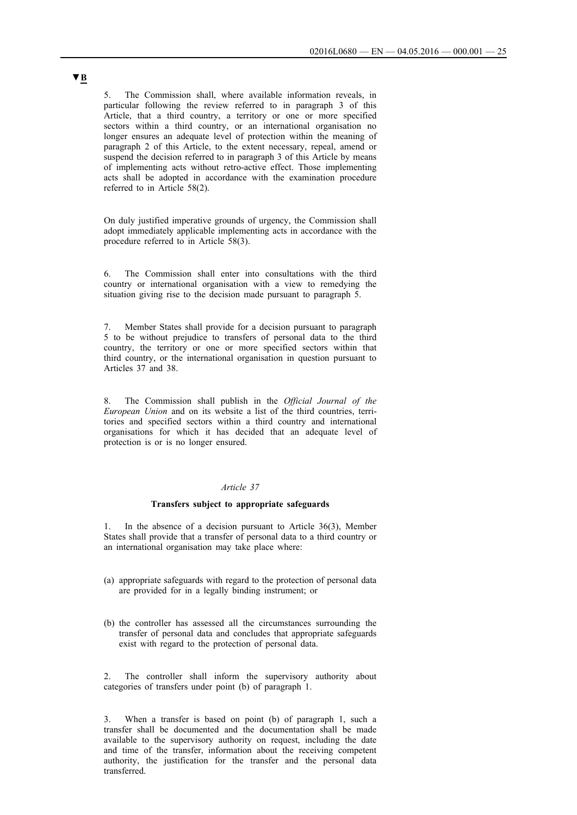5. The Commission shall, where available information reveals, in particular following the review referred to in paragraph 3 of this Article, that a third country, a territory or one or more specified sectors within a third country, or an international organisation no longer ensures an adequate level of protection within the meaning of paragraph 2 of this Article, to the extent necessary, repeal, amend or suspend the decision referred to in paragraph 3 of this Article by means of implementing acts without retro-active effect. Those implementing acts shall be adopted in accordance with the examination procedure referred to in Article 58(2).

On duly justified imperative grounds of urgency, the Commission shall adopt immediately applicable implementing acts in accordance with the procedure referred to in Article 58(3).

6. The Commission shall enter into consultations with the third country or international organisation with a view to remedying the situation giving rise to the decision made pursuant to paragraph 5.

7. Member States shall provide for a decision pursuant to paragraph 5 to be without prejudice to transfers of personal data to the third country, the territory or one or more specified sectors within that third country, or the international organisation in question pursuant to Articles 37 and 38.

8. The Commission shall publish in the *Official Journal of the European Union* and on its website a list of the third countries, territories and specified sectors within a third country and international organisations for which it has decided that an adequate level of protection is or is no longer ensured.

## *Article 37*

### **Transfers subject to appropriate safeguards**

1. In the absence of a decision pursuant to Article 36(3), Member States shall provide that a transfer of personal data to a third country or an international organisation may take place where:

- (a) appropriate safeguards with regard to the protection of personal data are provided for in a legally binding instrument; or
- (b) the controller has assessed all the circumstances surrounding the transfer of personal data and concludes that appropriate safeguards exist with regard to the protection of personal data.

The controller shall inform the supervisory authority about categories of transfers under point (b) of paragraph 1.

3. When a transfer is based on point (b) of paragraph 1, such a transfer shall be documented and the documentation shall be made available to the supervisory authority on request, including the date and time of the transfer, information about the receiving competent authority, the justification for the transfer and the personal data transferred.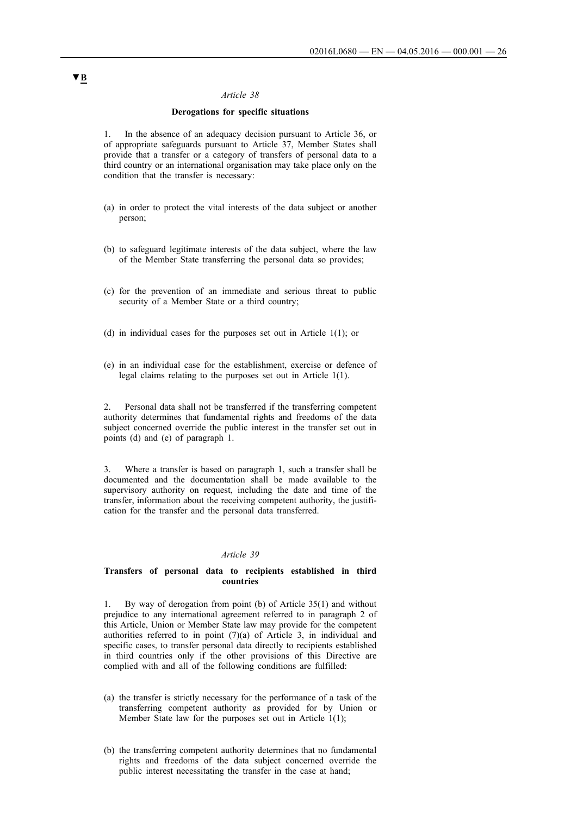### **Derogations for specific situations**

In the absence of an adequacy decision pursuant to Article 36, or of appropriate safeguards pursuant to Article 37, Member States shall provide that a transfer or a category of transfers of personal data to a third country or an international organisation may take place only on the condition that the transfer is necessary:

- (a) in order to protect the vital interests of the data subject or another person;
- (b) to safeguard legitimate interests of the data subject, where the law of the Member State transferring the personal data so provides;
- (c) for the prevention of an immediate and serious threat to public security of a Member State or a third country;
- (d) in individual cases for the purposes set out in Article 1(1); or
- (e) in an individual case for the establishment, exercise or defence of legal claims relating to the purposes set out in Article 1(1).

Personal data shall not be transferred if the transferring competent authority determines that fundamental rights and freedoms of the data subject concerned override the public interest in the transfer set out in points (d) and (e) of paragraph 1.

3. Where a transfer is based on paragraph 1, such a transfer shall be documented and the documentation shall be made available to the supervisory authority on request, including the date and time of the transfer, information about the receiving competent authority, the justification for the transfer and the personal data transferred.

### *Article 39*

## **Transfers of personal data to recipients established in third countries**

1. By way of derogation from point (b) of Article 35(1) and without prejudice to any international agreement referred to in paragraph 2 of this Article, Union or Member State law may provide for the competent authorities referred to in point  $(7)(a)$  of Article 3, in individual and specific cases, to transfer personal data directly to recipients established in third countries only if the other provisions of this Directive are complied with and all of the following conditions are fulfilled:

- (a) the transfer is strictly necessary for the performance of a task of the transferring competent authority as provided for by Union or Member State law for the purposes set out in Article 1(1);
- (b) the transferring competent authority determines that no fundamental rights and freedoms of the data subject concerned override the public interest necessitating the transfer in the case at hand;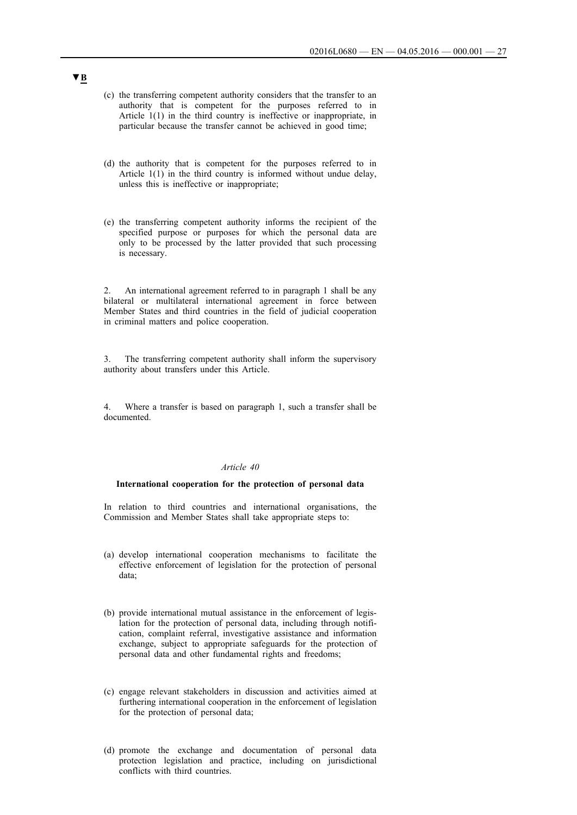- (c) the transferring competent authority considers that the transfer to an authority that is competent for the purposes referred to in Article 1(1) in the third country is ineffective or inappropriate, in particular because the transfer cannot be achieved in good time;
- (d) the authority that is competent for the purposes referred to in Article 1(1) in the third country is informed without undue delay, unless this is ineffective or inappropriate;
- (e) the transferring competent authority informs the recipient of the specified purpose or purposes for which the personal data are only to be processed by the latter provided that such processing is necessary.

2. An international agreement referred to in paragraph 1 shall be any bilateral or multilateral international agreement in force between Member States and third countries in the field of judicial cooperation in criminal matters and police cooperation.

3. The transferring competent authority shall inform the supervisory authority about transfers under this Article.

4. Where a transfer is based on paragraph 1, such a transfer shall be documented.

### *Article 40*

### **International cooperation for the protection of personal data**

In relation to third countries and international organisations, the Commission and Member States shall take appropriate steps to:

- (a) develop international cooperation mechanisms to facilitate the effective enforcement of legislation for the protection of personal data;
- (b) provide international mutual assistance in the enforcement of legislation for the protection of personal data, including through notification, complaint referral, investigative assistance and information exchange, subject to appropriate safeguards for the protection of personal data and other fundamental rights and freedoms;
- (c) engage relevant stakeholders in discussion and activities aimed at furthering international cooperation in the enforcement of legislation for the protection of personal data;
- (d) promote the exchange and documentation of personal data protection legislation and practice, including on jurisdictional conflicts with third countries.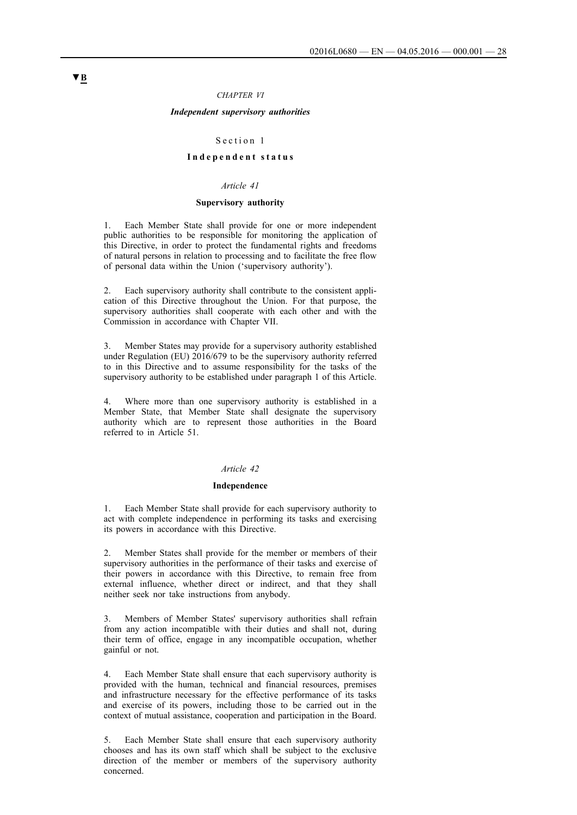### *CHAPTER VI*

### *Independent supervisory authorities*

### Section 1

## **I n d e p e n d e n t s t a t u s**

## *Article 41*

## **Supervisory authority**

1. Each Member State shall provide for one or more independent public authorities to be responsible for monitoring the application of this Directive, in order to protect the fundamental rights and freedoms of natural persons in relation to processing and to facilitate the free flow of personal data within the Union ('supervisory authority').

2. Each supervisory authority shall contribute to the consistent application of this Directive throughout the Union. For that purpose, the supervisory authorities shall cooperate with each other and with the Commission in accordance with Chapter VII.

3. Member States may provide for a supervisory authority established under Regulation (EU) 2016/679 to be the supervisory authority referred to in this Directive and to assume responsibility for the tasks of the supervisory authority to be established under paragraph 1 of this Article.

Where more than one supervisory authority is established in a Member State, that Member State shall designate the supervisory authority which are to represent those authorities in the Board referred to in Article 51.

### *Article 42*

#### **Independence**

1. Each Member State shall provide for each supervisory authority to act with complete independence in performing its tasks and exercising its powers in accordance with this Directive.

2. Member States shall provide for the member or members of their supervisory authorities in the performance of their tasks and exercise of their powers in accordance with this Directive, to remain free from external influence, whether direct or indirect, and that they shall neither seek nor take instructions from anybody.

3. Members of Member States' supervisory authorities shall refrain from any action incompatible with their duties and shall not, during their term of office, engage in any incompatible occupation, whether gainful or not.

4. Each Member State shall ensure that each supervisory authority is provided with the human, technical and financial resources, premises and infrastructure necessary for the effective performance of its tasks and exercise of its powers, including those to be carried out in the context of mutual assistance, cooperation and participation in the Board.

5. Each Member State shall ensure that each supervisory authority chooses and has its own staff which shall be subject to the exclusive direction of the member or members of the supervisory authority concerned.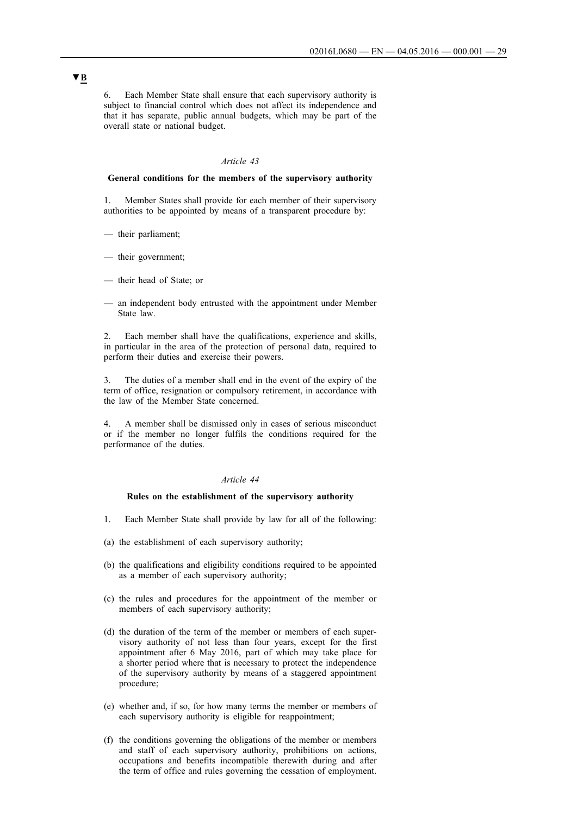6. Each Member State shall ensure that each supervisory authority is subject to financial control which does not affect its independence and that it has separate, public annual budgets, which may be part of the overall state or national budget.

## *Article 43*

## **General conditions for the members of the supervisory authority**

1. Member States shall provide for each member of their supervisory authorities to be appointed by means of a transparent procedure by:

— their parliament;

- their government;
- their head of State; or
- an independent body entrusted with the appointment under Member State law.

Each member shall have the qualifications, experience and skills, in particular in the area of the protection of personal data, required to perform their duties and exercise their powers.

3. The duties of a member shall end in the event of the expiry of the term of office, resignation or compulsory retirement, in accordance with the law of the Member State concerned.

4. A member shall be dismissed only in cases of serious misconduct or if the member no longer fulfils the conditions required for the performance of the duties.

### *Article 44*

### **Rules on the establishment of the supervisory authority**

- 1. Each Member State shall provide by law for all of the following:
- (a) the establishment of each supervisory authority;
- (b) the qualifications and eligibility conditions required to be appointed as a member of each supervisory authority;
- (c) the rules and procedures for the appointment of the member or members of each supervisory authority;
- (d) the duration of the term of the member or members of each supervisory authority of not less than four years, except for the first appointment after 6 May 2016, part of which may take place for a shorter period where that is necessary to protect the independence of the supervisory authority by means of a staggered appointment procedure;
- (e) whether and, if so, for how many terms the member or members of each supervisory authority is eligible for reappointment;
- (f) the conditions governing the obligations of the member or members and staff of each supervisory authority, prohibitions on actions, occupations and benefits incompatible therewith during and after the term of office and rules governing the cessation of employment.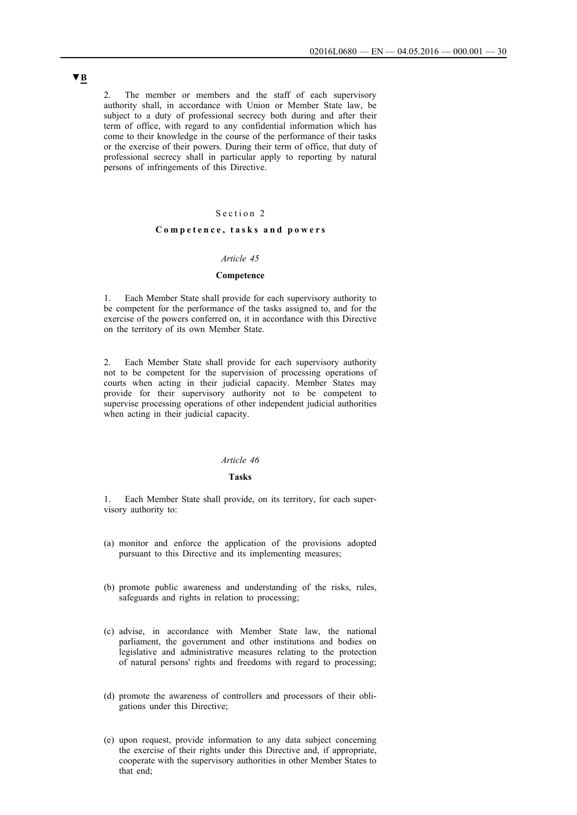2. The member or members and the staff of each supervisory authority shall, in accordance with Union or Member State law, be subject to a duty of professional secrecy both during and after their term of office, with regard to any confidential information which has come to their knowledge in the course of the performance of their tasks or the exercise of their powers. During their term of office, that duty of professional secrecy shall in particular apply to reporting by natural persons of infringements of this Directive.

## Section 2

### **C o m p e t e n c e , t a s k s a n d p o w e r s**

## *Article 45*

## **Competence**

1. Each Member State shall provide for each supervisory authority to be competent for the performance of the tasks assigned to, and for the exercise of the powers conferred on, it in accordance with this Directive on the territory of its own Member State.

2. Each Member State shall provide for each supervisory authority not to be competent for the supervision of processing operations of courts when acting in their judicial capacity. Member States may provide for their supervisory authority not to be competent to supervise processing operations of other independent judicial authorities when acting in their judicial capacity.

## *Article 46*

### **Tasks**

1. Each Member State shall provide, on its territory, for each supervisory authority to:

- (a) monitor and enforce the application of the provisions adopted pursuant to this Directive and its implementing measures;
- (b) promote public awareness and understanding of the risks, rules, safeguards and rights in relation to processing;
- (c) advise, in accordance with Member State law, the national parliament, the government and other institutions and bodies on legislative and administrative measures relating to the protection of natural persons' rights and freedoms with regard to processing;
- (d) promote the awareness of controllers and processors of their obligations under this Directive;
- (e) upon request, provide information to any data subject concerning the exercise of their rights under this Directive and, if appropriate, cooperate with the supervisory authorities in other Member States to that end;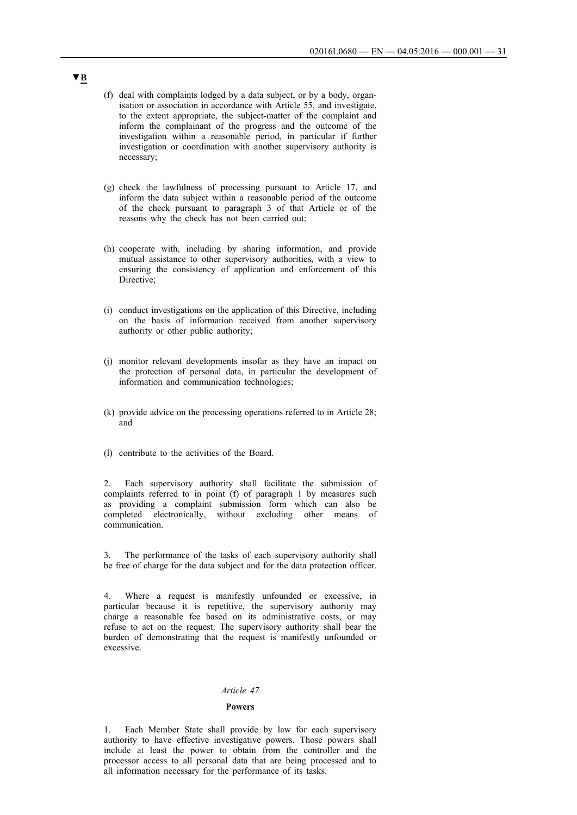- (f) deal with complaints lodged by a data subject, or by a body, organisation or association in accordance with Article 55, and investigate, to the extent appropriate, the subject-matter of the complaint and inform the complainant of the progress and the outcome of the investigation within a reasonable period, in particular if further investigation or coordination with another supervisory authority is necessary;
- (g) check the lawfulness of processing pursuant to Article 17, and inform the data subject within a reasonable period of the outcome of the check pursuant to paragraph 3 of that Article or of the reasons why the check has not been carried out;
- (h) cooperate with, including by sharing information, and provide mutual assistance to other supervisory authorities, with a view to ensuring the consistency of application and enforcement of this Directive;
- (i) conduct investigations on the application of this Directive, including on the basis of information received from another supervisory authority or other public authority;
- (j) monitor relevant developments insofar as they have an impact on the protection of personal data, in particular the development of information and communication technologies;
- (k) provide advice on the processing operations referred to in Article 28; and
- (l) contribute to the activities of the Board.

2. Each supervisory authority shall facilitate the submission of complaints referred to in point (f) of paragraph 1 by measures such as providing a complaint submission form which can also be completed electronically, without excluding other means of communication.

3. The performance of the tasks of each supervisory authority shall be free of charge for the data subject and for the data protection officer.

4. Where a request is manifestly unfounded or excessive, in particular because it is repetitive, the supervisory authority may charge a reasonable fee based on its administrative costs, or may refuse to act on the request. The supervisory authority shall bear the burden of demonstrating that the request is manifestly unfounded or excessive.

### *Article 47*

## **Powers**

1. Each Member State shall provide by law for each supervisory authority to have effective investigative powers. Those powers shall include at least the power to obtain from the controller and the processor access to all personal data that are being processed and to all information necessary for the performance of its tasks.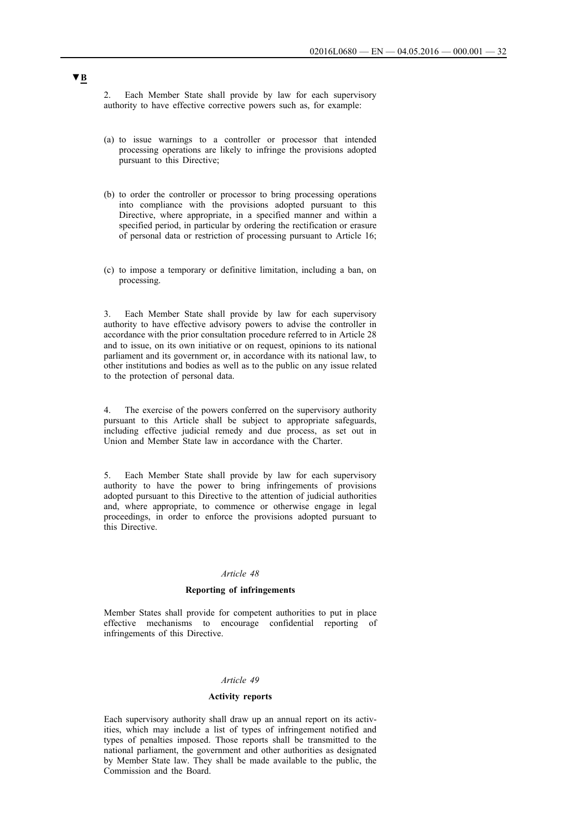2. Each Member State shall provide by law for each supervisory authority to have effective corrective powers such as, for example:

- (a) to issue warnings to a controller or processor that intended processing operations are likely to infringe the provisions adopted pursuant to this Directive;
- (b) to order the controller or processor to bring processing operations into compliance with the provisions adopted pursuant to this Directive, where appropriate, in a specified manner and within a specified period, in particular by ordering the rectification or erasure of personal data or restriction of processing pursuant to Article 16;
- (c) to impose a temporary or definitive limitation, including a ban, on processing.

3. Each Member State shall provide by law for each supervisory authority to have effective advisory powers to advise the controller in accordance with the prior consultation procedure referred to in Article 28 and to issue, on its own initiative or on request, opinions to its national parliament and its government or, in accordance with its national law, to other institutions and bodies as well as to the public on any issue related to the protection of personal data.

4. The exercise of the powers conferred on the supervisory authority pursuant to this Article shall be subject to appropriate safeguards, including effective judicial remedy and due process, as set out in Union and Member State law in accordance with the Charter.

5. Each Member State shall provide by law for each supervisory authority to have the power to bring infringements of provisions adopted pursuant to this Directive to the attention of judicial authorities and, where appropriate, to commence or otherwise engage in legal proceedings, in order to enforce the provisions adopted pursuant to this Directive.

### *Article 48*

## **Reporting of infringements**

Member States shall provide for competent authorities to put in place effective mechanisms to encourage confidential reporting of infringements of this Directive.

## *Article 49*

## **Activity reports**

Each supervisory authority shall draw up an annual report on its activities, which may include a list of types of infringement notified and types of penalties imposed. Those reports shall be transmitted to the national parliament, the government and other authorities as designated by Member State law. They shall be made available to the public, the Commission and the Board.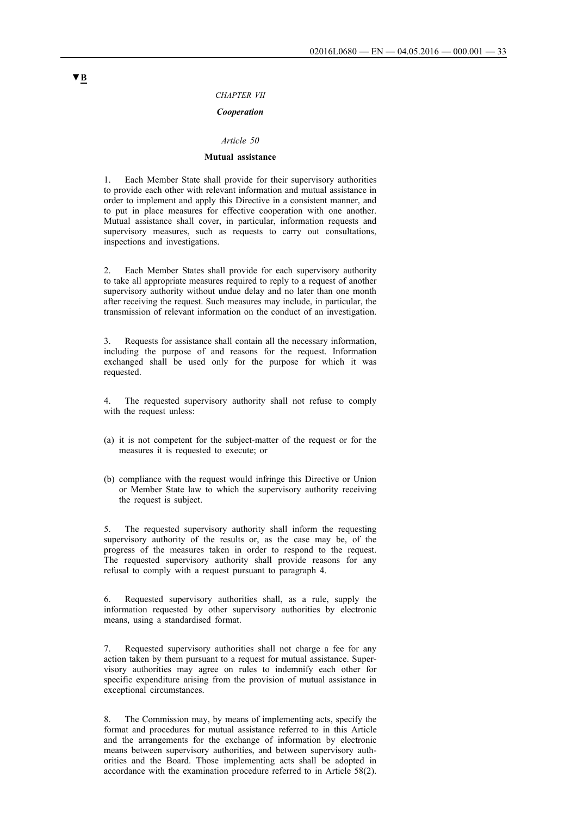#### *CHAPTER VII*

## *Cooperation*

#### *Article 50*

## **Mutual assistance**

1. Each Member State shall provide for their supervisory authorities to provide each other with relevant information and mutual assistance in order to implement and apply this Directive in a consistent manner, and to put in place measures for effective cooperation with one another. Mutual assistance shall cover, in particular, information requests and supervisory measures, such as requests to carry out consultations, inspections and investigations.

2. Each Member States shall provide for each supervisory authority to take all appropriate measures required to reply to a request of another supervisory authority without undue delay and no later than one month after receiving the request. Such measures may include, in particular, the transmission of relevant information on the conduct of an investigation.

3. Requests for assistance shall contain all the necessary information, including the purpose of and reasons for the request. Information exchanged shall be used only for the purpose for which it was requested.

The requested supervisory authority shall not refuse to comply with the request unless:

- (a) it is not competent for the subject-matter of the request or for the measures it is requested to execute; or
- (b) compliance with the request would infringe this Directive or Union or Member State law to which the supervisory authority receiving the request is subject.

5. The requested supervisory authority shall inform the requesting supervisory authority of the results or, as the case may be, of the progress of the measures taken in order to respond to the request. The requested supervisory authority shall provide reasons for any refusal to comply with a request pursuant to paragraph 4.

6. Requested supervisory authorities shall, as a rule, supply the information requested by other supervisory authorities by electronic means, using a standardised format.

7. Requested supervisory authorities shall not charge a fee for any action taken by them pursuant to a request for mutual assistance. Supervisory authorities may agree on rules to indemnify each other for specific expenditure arising from the provision of mutual assistance in exceptional circumstances.

8. The Commission may, by means of implementing acts, specify the format and procedures for mutual assistance referred to in this Article and the arrangements for the exchange of information by electronic means between supervisory authorities, and between supervisory authorities and the Board. Those implementing acts shall be adopted in accordance with the examination procedure referred to in Article 58(2).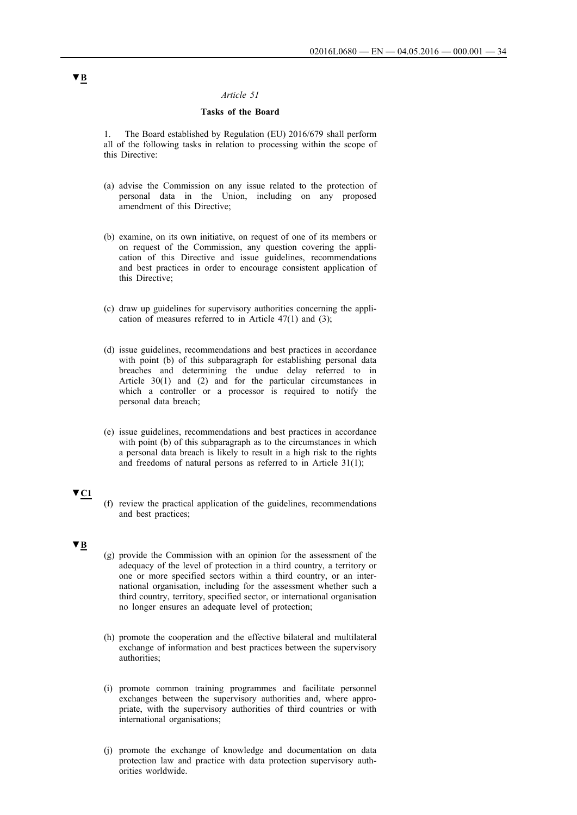## **Tasks of the Board**

1. The Board established by Regulation (EU) 2016/679 shall perform all of the following tasks in relation to processing within the scope of this Directive:

- (a) advise the Commission on any issue related to the protection of personal data in the Union, including on any proposed amendment of this Directive;
- (b) examine, on its own initiative, on request of one of its members or on request of the Commission, any question covering the application of this Directive and issue guidelines, recommendations and best practices in order to encourage consistent application of this Directive;
- (c) draw up guidelines for supervisory authorities concerning the application of measures referred to in Article 47(1) and (3);
- (d) issue guidelines, recommendations and best practices in accordance with point (b) of this subparagraph for establishing personal data breaches and determining the undue delay referred to in Article 30(1) and (2) and for the particular circumstances in which a controller or a processor is required to notify the personal data breach;
- (e) issue guidelines, recommendations and best practices in accordance with point (b) of this subparagraph as to the circumstances in which a personal data breach is likely to result in a high risk to the rights and freedoms of natural persons as referred to in Article 31(1);

## **▼C1**

(f) review the practical application of the guidelines, recommendations and best practices;

## **▼B**

- (g) provide the Commission with an opinion for the assessment of the adequacy of the level of protection in a third country, a territory or one or more specified sectors within a third country, or an international organisation, including for the assessment whether such a third country, territory, specified sector, or international organisation no longer ensures an adequate level of protection;
- (h) promote the cooperation and the effective bilateral and multilateral exchange of information and best practices between the supervisory authorities;
- (i) promote common training programmes and facilitate personnel exchanges between the supervisory authorities and, where appropriate, with the supervisory authorities of third countries or with international organisations;
- (j) promote the exchange of knowledge and documentation on data protection law and practice with data protection supervisory authorities worldwide.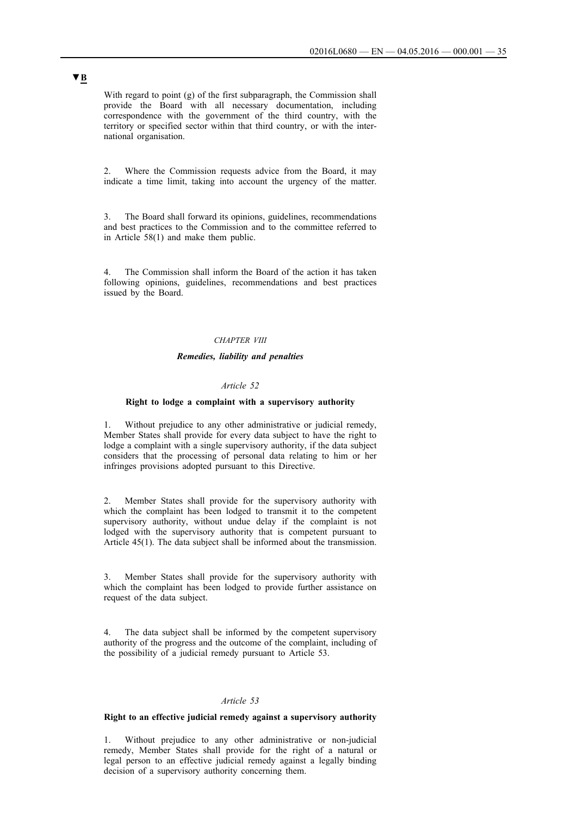With regard to point (g) of the first subparagraph, the Commission shall provide the Board with all necessary documentation, including correspondence with the government of the third country, with the territory or specified sector within that third country, or with the international organisation.

2. Where the Commission requests advice from the Board, it may indicate a time limit, taking into account the urgency of the matter.

The Board shall forward its opinions, guidelines, recommendations and best practices to the Commission and to the committee referred to in Article 58(1) and make them public.

4. The Commission shall inform the Board of the action it has taken following opinions, guidelines, recommendations and best practices issued by the Board.

### *CHAPTER VIII*

## *Remedies, liability and penalties*

## *Article 52*

## **Right to lodge a complaint with a supervisory authority**

1. Without prejudice to any other administrative or judicial remedy, Member States shall provide for every data subject to have the right to lodge a complaint with a single supervisory authority, if the data subject considers that the processing of personal data relating to him or her infringes provisions adopted pursuant to this Directive.

2. Member States shall provide for the supervisory authority with which the complaint has been lodged to transmit it to the competent supervisory authority, without undue delay if the complaint is not lodged with the supervisory authority that is competent pursuant to Article 45(1). The data subject shall be informed about the transmission.

3. Member States shall provide for the supervisory authority with which the complaint has been lodged to provide further assistance on request of the data subject.

4. The data subject shall be informed by the competent supervisory authority of the progress and the outcome of the complaint, including of the possibility of a judicial remedy pursuant to Article 53.

## *Article 53*

## **Right to an effective judicial remedy against a supervisory authority**

1. Without prejudice to any other administrative or non-judicial remedy, Member States shall provide for the right of a natural or legal person to an effective judicial remedy against a legally binding decision of a supervisory authority concerning them.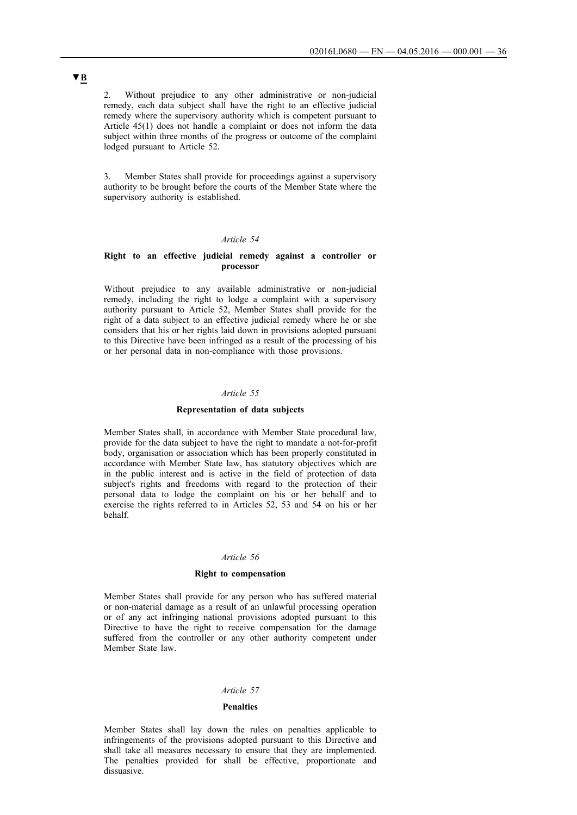2. Without prejudice to any other administrative or non-judicial remedy, each data subject shall have the right to an effective judicial remedy where the supervisory authority which is competent pursuant to Article 45(1) does not handle a complaint or does not inform the data subject within three months of the progress or outcome of the complaint lodged pursuant to Article 52.

3. Member States shall provide for proceedings against a supervisory authority to be brought before the courts of the Member State where the supervisory authority is established.

## *Article 54*

## **Right to an effective judicial remedy against a controller or processor**

Without prejudice to any available administrative or non-judicial remedy, including the right to lodge a complaint with a supervisory authority pursuant to Article 52, Member States shall provide for the right of a data subject to an effective judicial remedy where he or she considers that his or her rights laid down in provisions adopted pursuant to this Directive have been infringed as a result of the processing of his or her personal data in non-compliance with those provisions.

### *Article 55*

### **Representation of data subjects**

Member States shall, in accordance with Member State procedural law, provide for the data subject to have the right to mandate a not-for-profit body, organisation or association which has been properly constituted in accordance with Member State law, has statutory objectives which are in the public interest and is active in the field of protection of data subject's rights and freedoms with regard to the protection of their personal data to lodge the complaint on his or her behalf and to exercise the rights referred to in Articles 52, 53 and 54 on his or her behalf.

#### *Article 56*

### **Right to compensation**

Member States shall provide for any person who has suffered material or non-material damage as a result of an unlawful processing operation or of any act infringing national provisions adopted pursuant to this Directive to have the right to receive compensation for the damage suffered from the controller or any other authority competent under Member State law.

#### *Article 57*

## **Penalties**

Member States shall lay down the rules on penalties applicable to infringements of the provisions adopted pursuant to this Directive and shall take all measures necessary to ensure that they are implemented. The penalties provided for shall be effective, proportionate and dissuasive.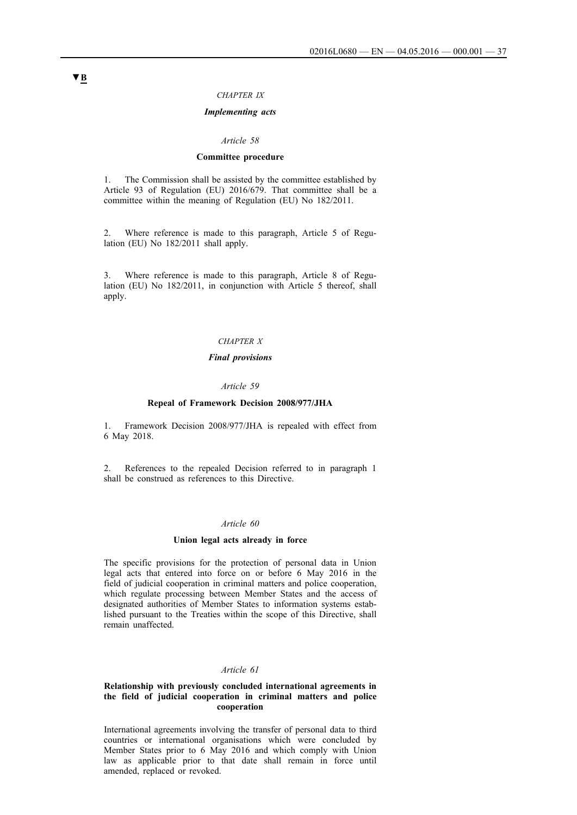### *CHAPTER IX*

## *Implementing acts*

#### *Article 58*

### **Committee procedure**

1. The Commission shall be assisted by the committee established by Article 93 of Regulation (EU) 2016/679. That committee shall be a committee within the meaning of Regulation (EU) No 182/2011.

2. Where reference is made to this paragraph, Article 5 of Regulation (EU) No 182/2011 shall apply.

3. Where reference is made to this paragraph, Article 8 of Regulation (EU) No 182/2011, in conjunction with Article 5 thereof, shall apply.

### *CHAPTER X*

### *Final provisions*

## *Article 59*

### **Repeal of Framework Decision 2008/977/JHA**

1. Framework Decision 2008/977/JHA is repealed with effect from 6 May 2018.

2. References to the repealed Decision referred to in paragraph 1 shall be construed as references to this Directive.

#### *Article 60*

### **Union legal acts already in force**

The specific provisions for the protection of personal data in Union legal acts that entered into force on or before 6 May 2016 in the field of judicial cooperation in criminal matters and police cooperation, which regulate processing between Member States and the access of designated authorities of Member States to information systems established pursuant to the Treaties within the scope of this Directive, shall remain unaffected.

## *Article 61*

## **Relationship with previously concluded international agreements in the field of judicial cooperation in criminal matters and police cooperation**

International agreements involving the transfer of personal data to third countries or international organisations which were concluded by Member States prior to 6 May 2016 and which comply with Union law as applicable prior to that date shall remain in force until amended, replaced or revoked.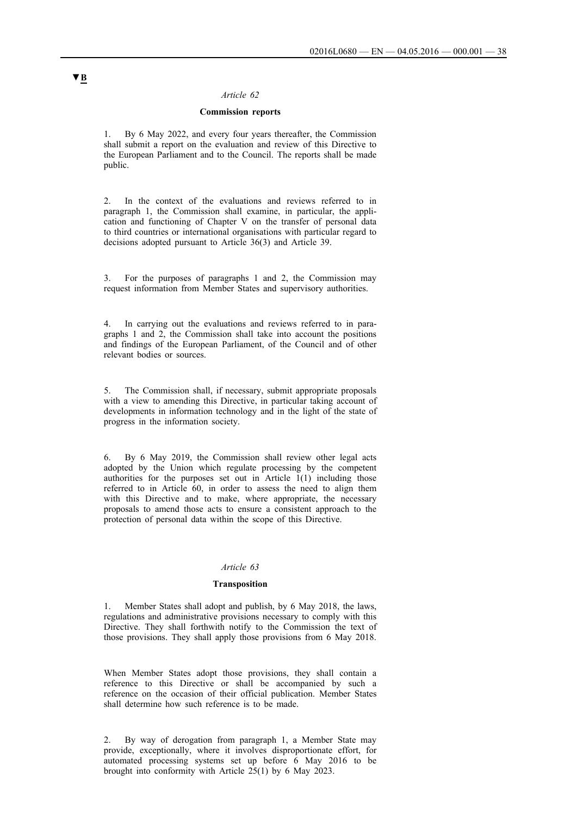## **Commission reports**

1. By 6 May 2022, and every four years thereafter, the Commission shall submit a report on the evaluation and review of this Directive to the European Parliament and to the Council. The reports shall be made public.

2. In the context of the evaluations and reviews referred to in paragraph 1, the Commission shall examine, in particular, the application and functioning of Chapter V on the transfer of personal data to third countries or international organisations with particular regard to decisions adopted pursuant to Article 36(3) and Article 39.

3. For the purposes of paragraphs 1 and 2, the Commission may request information from Member States and supervisory authorities.

4. In carrying out the evaluations and reviews referred to in paragraphs 1 and 2, the Commission shall take into account the positions and findings of the European Parliament, of the Council and of other relevant bodies or sources.

5. The Commission shall, if necessary, submit appropriate proposals with a view to amending this Directive, in particular taking account of developments in information technology and in the light of the state of progress in the information society.

6. By 6 May 2019, the Commission shall review other legal acts adopted by the Union which regulate processing by the competent authorities for the purposes set out in Article 1(1) including those referred to in Article 60, in order to assess the need to align them with this Directive and to make, where appropriate, the necessary proposals to amend those acts to ensure a consistent approach to the protection of personal data within the scope of this Directive.

### *Article 63*

### **Transposition**

1. Member States shall adopt and publish, by 6 May 2018, the laws, regulations and administrative provisions necessary to comply with this Directive. They shall forthwith notify to the Commission the text of those provisions. They shall apply those provisions from 6 May 2018.

When Member States adopt those provisions, they shall contain a reference to this Directive or shall be accompanied by such a reference on the occasion of their official publication. Member States shall determine how such reference is to be made.

2. By way of derogation from paragraph 1, a Member State may provide, exceptionally, where it involves disproportionate effort, for automated processing systems set up before 6 May 2016 to be brought into conformity with Article 25(1) by 6 May 2023.